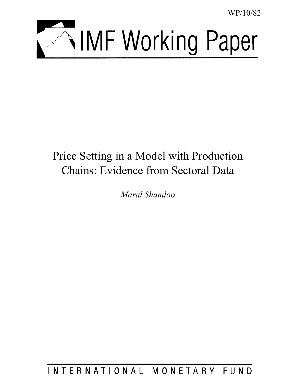WP/10/82



# Price Setting in a Model with Production Chains: Evidence from Sectoral Data

*Maral Shamloo* 

INTERNATIONAL MONETARY FUND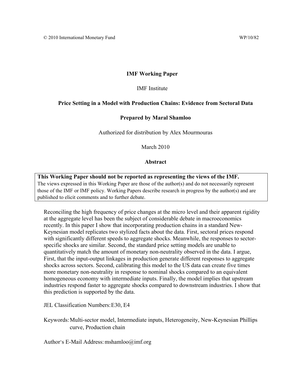# **IMF Working Paper**

IMF Institute

# **Price Setting in a Model with Production Chains: Evidence from Sectoral Data**

# **Prepared by Maral Shamloo**

Authorized for distribution by Alex Mourmouras

March 2010

# **Abstract**

**This Working Paper should not be reported as representing the views of the IMF.** The views expressed in this Working Paper are those of the author(s) and do not necessarily represent those of the IMF or IMF policy. Working Papers describe research in progress by the author(s) and are published to elicit comments and to further debate.

Reconciling the high frequency of price changes at the micro level and their apparent rigidity at the aggregate level has been the subject of considerable debate in macroeconomics recently. In this paper I show that incorporating production chains in a standard New-Keynesian model replicates two stylized facts about the data. First, sectoral prices respond with significantly different speeds to aggregate shocks. Meanwhile, the responses to sectorspecific shocks are similar. Second, the standard price setting models are unable to quantitatively match the amount of monetary non-neutrality observed in the data. I argue, First, that the input-output linkages in production generate different responses to aggregate shocks across sectors. Second, calibrating this model to the US data can create five times more monetary non-neutrality in response to nominal shocks compared to an equivalent homogeneous economy with intermediate inputs. Finally, the model implies that upstream industries respond faster to aggregate shocks compared to downstream industries. I show that this prediction is supported by the data.

JEL Classification Numbers: E30, E4

Keywords: Multi-sector model, Intermediate inputs, Heterogeneity, New-Keynesian Phillips curve, Production chain

Author's E-Mail Address: mshamloo@imf.org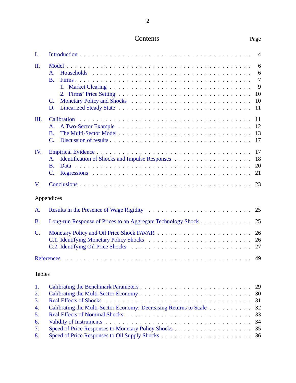| Contents | Page |
|----------|------|
|----------|------|

| $\mathbf{I}$ .  |                                                              | $\overline{4}$                                  |
|-----------------|--------------------------------------------------------------|-------------------------------------------------|
| II.             | $\mathsf{A}$ .<br><b>B.</b><br>C.<br>D.                      | 6<br>6<br>$\overline{7}$<br>9<br>10<br>10<br>11 |
| Ш.              | $\mathbf{A}$ .<br><b>B.</b><br>$\overline{C}$ .              | 11<br>12<br>13<br>17                            |
| IV.             | $\mathbf{A}$ .<br><b>B.</b><br>$\overline{C}$ .              | 17<br>18<br>20<br>21                            |
| V.              |                                                              | 23                                              |
|                 | Appendices                                                   |                                                 |
| A.              |                                                              |                                                 |
| <b>B.</b>       | Long-run Response of Prices to an Aggregate Technology Shock | 25                                              |
| $\mathcal{C}$ . |                                                              | 26<br>26<br>27                                  |
|                 |                                                              | 49                                              |
| <b>Tables</b>   |                                                              |                                                 |
| 1.<br>2.        |                                                              | 30                                              |

| 4. Calibrating the Multi-Sector Economy: Decreasing Returns to Scale 32 |  |
|-------------------------------------------------------------------------|--|
|                                                                         |  |
|                                                                         |  |
|                                                                         |  |
|                                                                         |  |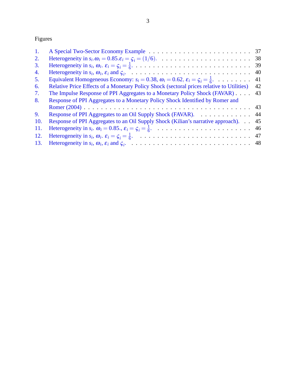Figures

| 1.  |                                                                                                              | 37 |
|-----|--------------------------------------------------------------------------------------------------------------|----|
| 2.  |                                                                                                              |    |
| 3.  |                                                                                                              | 39 |
| 4.  |                                                                                                              | 40 |
| 5.  | Equivalent Homogeneous Economy: $s_i = 0.38$ , $\omega_i = 0.62$ , $\varepsilon_i = \zeta_i = \frac{1}{6}$ . | 41 |
| 6.  | Relative Price Effects of a Monetary Policy Shock (sectoral prices relative to Utilities)                    | 42 |
| 7.  | The Impulse Response of PPI Aggregates to a Monetary Policy Shock (FAVAR)                                    | 43 |
| 8.  | Response of PPI Aggregates to a Monetary Policy Shock Identified by Romer and                                |    |
|     |                                                                                                              | 43 |
| 9.  | Response of PPI Aggregates to an Oil Supply Shock (FAVAR). 44                                                |    |
| 10. | Response of PPI Aggregates to an Oil Supply Shock (Kilian's narrative approach).                             | 45 |
| 11. |                                                                                                              |    |
| 12. |                                                                                                              |    |
| 13. |                                                                                                              |    |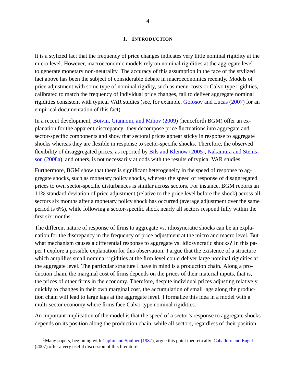#### **I. INTRODUCTION**

<span id="page-4-0"></span>It is a stylized fact that the frequency of price changes indicates very little nominal rigitdity at the micro level. However, macroeconomic models rely on nominal rigidities at the aggregate level to generate monetary non-neutrality. The accuracy of this assumption in the face of the stylized fact above has been the subject of considerable debate in macroeconomics recently. Models of price adjustment with some type of nominal rigidity, such as menu-costs or Calvo type rigidities, calibrated to match the frequency of individual price changes, fail to deliver aggregate nominal rigidities consistent with typical VAR studies (see, for example, [Golosov and Lucas](#page-49-1) [\(2007\)](#page-49-1) for an empirical documentation of this fact).<sup>[1](#page-4-1)</sup>

In a recent development, [Boivin, Giannoni, and Mihov](#page-49-2) [\(2009\)](#page-49-2) (henceforth BGM) offer an explanation for the apparent discrepancy: they decompose price fluctuations into aggregate and sector-specific components and show that sectoral prices appear sticky in response to aggregate shocks whereas they are flexible in response to sector-specific shocks. Therefore, the observed flexibility of disaggregated prices, as reported by [Bils and Klenow](#page-49-3) [\(2005\)](#page-49-3), [Nakamura and Steins](#page-50-0)[son](#page-50-0) [\(2008a\)](#page-50-0), and others, is not necessarily at odds with the results of typical VAR studies.

Furthermore, BGM show that there is significant heterogeneity in the speed of response to aggregate shocks, such as monetary policy shocks, whereas the speed of response of disaggregated prices to own sector-specific disturbances is similar across sectors. For instance, BGM reports an 11% standard deviation of price adjustment (relative to the price level before the shock) across all sectors six months after a monetary policy shock has occurred (average adjustment over the same period is 6%), while following a sector-specific shock nearly all sectors respond fully within the first six months.

The different nature of response of firms to aggregate vs. idiosyncratic shocks can be an explanation for the discrepancy in the frequency of price adjustment at the micro and macro level. But what mechanism causes a differential response to aggregate vs. idiosyncratic shocks? In this paper I explore a possible explanation for this observation. I argue that the existence of a structure which amplifies small nominal rigidities at the firm level could deliver large nominal rigidities at the aggregate level. The particular structure I have in mind is a production chain. Along a production chain, the marginal cost of firms depends on the prices of their material inputs, that is, the prices of other firms in the economy. Therefore, despite individual prices adjusting relatively quickly to changes in their own marginal cost, the accumulation of small lags along the production chain will lead to large lags at the aggregate level. I formalize this idea in a model with a multi-sector economy where firms face Calvo-type nominal rigidities.

An important implication of the model is that the speed of a sector's response to aggregate shocks depends on its position along the production chain, while all sectors, regardless of their position,

<span id="page-4-1"></span><sup>&</sup>lt;sup>1</sup>Many papers, beginning with [Caplin and Spulber](#page-49-4) [\(1987\)](#page-49-4), argue this point theoretically. [Caballero and Engel](#page-49-5) [\(2007\)](#page-49-5) offer a very useful discussion of this literature.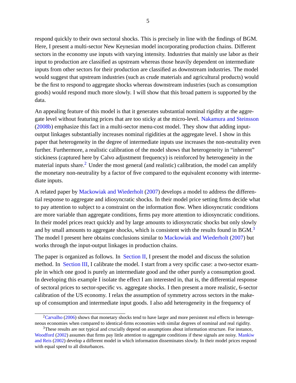respond quickly to their own sectoral shocks. This is precisely in line with the findings of BGM. Here, I present a multi-sector New Keynesian model incorporating production chains. Different sectors in the economy use inputs with varying intensity. Industries that mainly use labor as their input to production are classified as upstream whereas those heavily dependent on intermediate inputs from other sectors for their production are classified as downstream industries. The model would suggest that upstream industries (such as crude materials and agricultural products) would be the first to respond to aggregate shocks whereas downstream industries (such as consumption goods) would respond much more slowly. I will show that this broad pattern is supported by the data.

An appealing feature of this model is that it generates substantial nominal rigidity at the aggregate level without featuring prices that are too sticky at the micro-level. [Nakamura and Steinsson](#page-50-1) [\(2008b\)](#page-50-1) emphasize this fact in a multi-sector menu-cost model. They show that adding inputoutput linkages substantially increases nominal rigidities at the aggregate level. I show in this paper that heterogeneity in the degree of intermediate inputs use increases the non-neutrality even further. Furthermore, a realistic calibration of the model shows that heterogeneity in "inherent" stickiness (captured here by Calvo adjustment frequency) is reinforced by heterogeneity in the material inputs share.<sup>[2](#page-5-0)</sup> Under the most general (and realistic) calibration, the model can amplify the monetary non-neutrality by a factor of five compared to the equivalent economy with intermediate inputs.

A related paper by [Mackowiak and Wiederholt](#page-50-2) [\(2007\)](#page-50-2) develops a model to address the differential response to aggregate and idiosyncratic shocks. In their model price setting firms decide what to pay attention to subject to a constraint on the information flow. When idiosyncratic conditions are more variable than aggregate conditions, firms pay more attention to idiosyncratic conditions. In their model prices react quickly and by large amounts to idiosyncratic shocks but only slowly and by small amounts to aggregate shocks, which is consistent with the results found in BGM.<sup>[3](#page-5-1)</sup> The model I present here obtains conclusions similar to [Mackowiak and Wiederholt](#page-50-2) [\(2007\)](#page-50-2) but works through the input-output linkages in production chains.

The paper is organized as follows. In [Section II,](#page-6-0) I present the model and discuss the solution method. In [Section III,](#page-11-1) I calibrate the model. I start from a very spcific case: a two-sector example in which one good is purely an intermediate good and the other purely a consumption good. In developing this example I isolate the effect I am interested in, that is, the differential response of sectoral prices to sector-specific vs. aggregate shocks. I then present a more realistic, 6-sector calibration of the US economy. I relax the assumption of symmetry across sectors in the makeup of consumption and intermediate input goods. I also add heterogeneity in the frequency of

<span id="page-5-0"></span><sup>&</sup>lt;sup>2</sup>[Carvalho](#page-49-6) [\(2006\)](#page-49-6) shows that monetary shocks tend to have larger and more persistent real effects in heterogeneous economies when compared to identical-firms economies with similar degrees of nominal and real rigidity.

<span id="page-5-1"></span><sup>3</sup>These results are not typical and crucially depend on assumptions about information structure. For instance, [Woodford](#page-50-3) [\(2002\)](#page-50-3) assumes that firms pay little attention to aggregate conditions if these signals are noisy. [Mankiw](#page-50-4) [and Reis](#page-50-4) [\(2002\)](#page-50-4) develop a different model in which information disseminates slowly. In their model prices respond with equal speed to all disturbances.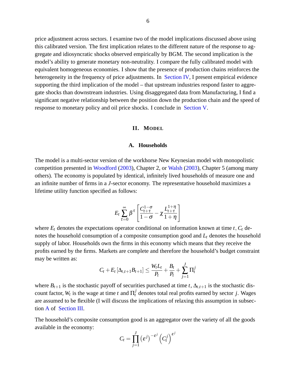price adjustment across sectors. I examine two of the model implications discussed above using this calibrated version. The first implication relates to the different nature of the response to aggregate and idiosyncratic shocks observed empirically by BGM. The second implication is the model's ability to generate monetary non-neutrality. I compare the fully calibrated model with equivalent homogeneous economies. I show that the presence of production chains reinforces the heterogeneity in the frequency of price adjustments. In [Section IV,](#page-17-1) I present empirical evidence supporting the third implication of the model – that upstream industries respond faster to aggregate shocks than downstream industries. Using disaggregated data from Manufacturing, I find a significant negative relationship between the position down the production chain and the speed of response to monetary policy and oil price shocks. I conclude in [Section V.](#page-23-0)

## **II. MODEL**

## **A. Households**

<span id="page-6-1"></span><span id="page-6-0"></span>The model is a multi-sector version of the workhorse New Keynesian model with monopolistic competition presented in [Woodford](#page-50-5) [\(2003\)](#page-50-5), Chapter 2, or [Walsh](#page-50-6) [\(2003\)](#page-50-6), Chapter 5 (among many others). The economy is populated by identical, infinitely lived households of measure one and an infinite number of firms in a *J*-sector economy. The representative household maximizes a lifetime utility function specified as follows:

$$
E_t\sum_{\tau=0}^{\infty}\beta^{\tau}\left[\frac{C_{t+\tau}^{1-\sigma}}{1-\sigma}-\chi\frac{L_{t+\tau}^{1+\eta}}{1+\eta}\right]
$$

where  $E_t$  denotes the expectations operator conditional on information known at time  $t$ ,  $C_t$  denotes the household consumption of a composite consumption good and *L<sup>t</sup>* denotes the household supply of labor. Households own the firms in this economy which means that they receive the profits earned by the firms. Markets are complete and therefore the household's budget constraint may be written as:

$$
C_t+E_t\left[\Delta_{t,t+1}B_{t+1}\right]\leq \frac{W_tL_t}{P_t}+\frac{B_t}{P_t}+\sum_{j=1}^J\Pi_t^j
$$

where  $B_{t+1}$  is the stochastic payoff of securities purchased at time *t*,  $\Delta_{t,t+1}$  is the stochastic discount factor,  $W_t$  is the wage at time *t* and  $\Pi_t^j$  denotes total real profits earned by sector *j*. Wages are assumed to be flexible (I will discuss the implications of relaxing this assumption in subsection [A](#page-12-0) of [Section III.](#page-11-1)

The household's composite consumption good is an aggregator over the variety of all the goods available in the economy:

$$
C_t = \prod_{j=1}^J \left(\varepsilon^j\right)^{-\varepsilon^j} \left(C_t^j\right)^{\varepsilon^j}
$$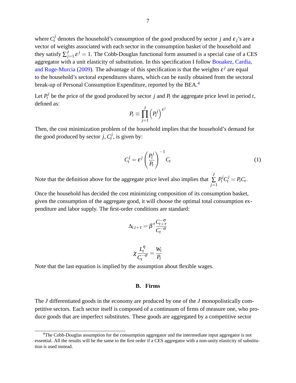where  $C_t^j$  denotes the household's consumption of the good produced by sector *j* and  $\varepsilon_j$ 's are a vector of weights associated with each sector in the consumption basket of the household and they satisfy  $\sum_{i}^{J}$  $J_{j=1}$   $\varepsilon^{j} = 1$ . The Cobb-Douglas functional form assumed is a special case of a CES aggregator with a unit elasticity of substitution. In this specification I follow [Bouakez, Cardia,](#page-49-7) [and Ruge-Murcia](#page-49-7) [\(2009\)](#page-49-7). The advantage of this specification is that the weights  $\varepsilon^{j}$  are equal to the household's sectoral expenditures shares, which can be easily obtained from the sectoral break-up of Personal Consumption Expenditure, reported by the BEA.[4](#page-7-1)

Let  $P_t^j$  be the price of the good produced by sector *j* and  $P_t$  the aggregate price level in period *t*, defined as:

$$
P_t \equiv \prod_{j=1}^J \left(P_t^j\right)^{\varepsilon^j}
$$

Then, the cost minimization problem of the household implies that the household's demand for the good produced by sector  $j$ ,  $C_t^j$  $t'$ , is given by:

<span id="page-7-2"></span>
$$
C_t^j = \varepsilon^j \left(\frac{P_t^j}{P_t}\right)^{-1} C_t \tag{1}
$$

Note that the definition above for the aggregate price level also implies that *J* ∑ *j*=1  $P_t^j C_t^j = P_t C_t$ .

Once the household has decided the cost minimizing composition of its consumption basket, given the consumption of the aggregate good, it will choose the optimal total consumption expenditure and labor supply. The first-order conditions are standard:

$$
\Delta_{t,t+\tau} = \beta^\tau \frac{C_{t+\tau}^{-\sigma}}{C_t^{-\sigma}}
$$

$$
\chi \frac{L_t^\eta}{C_t^{-\sigma}} = \frac{W_t}{P_t}
$$

<span id="page-7-0"></span>Note that the last equation is implied by the assumption about flexible wages.

#### **B. Firms**

The *J* differentiated goods in the economy are produced by one of the *J* monopolistically competitive sectors. Each sector itself is composed of a continuum of firms of measure one, who produce goods that are imperfect substitutes. These goods are aggregated by a competitive sector

<span id="page-7-1"></span><sup>&</sup>lt;sup>4</sup>The Cobb-Douglas assumption for the consumption aggregator and the intermediate input aggregator is not essential. All the results will be the same to the first order if a CES aggregator with a non-unity elasticity of substitution is used instead.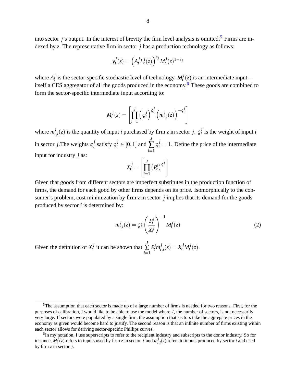$$
y_t^j(z) = \left(A_t^j L_t^j(z)\right)^{s_j} M_t^j(z)^{1-s_j}
$$

where  $A_t^j$  $t_i$  is the sector-specific stochastic level of technology.  $M_t$ <sup>*j*</sup>  $t'$  $(t)$  is an intermediate input – itself a CES aggregator of all the goods produced in the economy.[6](#page-8-1) These goods are combined to form the sector-specific intermediate input according to:

$$
M_t^j(z) = \left[ \prod_{i=1}^J \left( \varsigma_i^j \right)^{\varsigma_i^j} \left( m_{t,i}^j(z) \right)^{-\varsigma_i^j} \right]
$$

where  $m_t^j$  $t_{i,i}(z)$  is the quantity of input *i* purchased by firm *z* in sector *j*.  $\zeta_i^j$  $i$ <sup> $j$ </sup> is the weight of input *i* in sector *j*. The weights  $\zeta_i^j$  $j_i^j$  satisfy  $\zeta_i^j \in [0,1]$  and *J*  $\sum_{i=1}$  $\varsigma_i^j = 1$ . Define the price of the intermediate input for industry *j* as:

$$
X_t^j = \left[ \prod_{i=1}^J \left( P_t^i \right)^{\varsigma_i^j} \right]
$$

Given that goods from different sectors are imperfect substitutes in the production function of firms, the demand for each good by other firms depends on its price. Isomorphically to the consumer's problem, cost minimization by firm *z* in sector *j* implies that its demand for the goods produced by sector *i* is determined by:

<span id="page-8-2"></span>
$$
m_{t,i}^j(z) = \zeta_i^j \left(\frac{P_t^i}{X_t^j}\right)^{-1} M_t^j(z)
$$
 (2)

Given the definition of  $X_t^j$  $t_i^j$  it can be shown that *J* ∑ *i*=1  $P_t^i m_t^j$  $\frac{j}{t,i}(z) = X_t^j M_t^j$  $t^{J}(z).$ 

<span id="page-8-0"></span><sup>&</sup>lt;sup>5</sup>The assumption that each sector is made up of a large number of firms is needed for two reasons. First, for the purposes of calibration, I would like to be able to use the model where *J*, the number of sectors, is not necessarily very large. If sectors were populated by a single firm, the assumption that sectors take the aggregate prices in the economy as given would become hard to justify. The second reason is that an infinite number of firms existing within each sector allows for deriving sector-specific Phillips curves.

<span id="page-8-1"></span><sup>&</sup>lt;sup>6</sup>In my notation, I use superscripts to refer to the recipient industry and subscripts to the donor industry. So for instance,  $M_t^j(z)$  refers to inputs used by firm *z* in sector *j* and  $m_{t,i}^j(z)$  refers to inputs produced by sector *i* and used by firm *z* in sector *j*: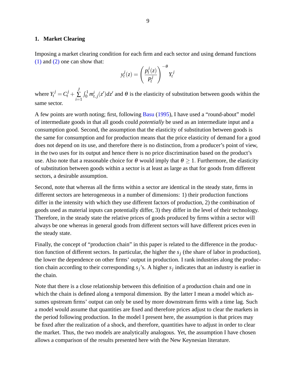#### <span id="page-9-0"></span>**1. Market Clearing**

Imposing a market clearing condition for each firm and each sector and using demand functions [\(1\)](#page-7-2) and [\(2\)](#page-8-2) one can show that:

$$
y_t^j(z) = \left(\frac{p_t^j(z)}{P_t^j}\right)^{-\theta} Y_t^j
$$

where  $Y_t^j = C_t^j +$ *J* ∑ *i*=1  $\int_0^1 m_{t,j}^i(z')dz'$  and  $\theta$  is the elasticity of substitution between goods within the same sector.

A few points are worth noting; first, following [Basu](#page-49-8) [\(1995\)](#page-49-8), I have used a "round-about" model of intermediate goods in that all goods could *potentially* be used as an intermediate input and a consumption good. Second, the assumption that the elasticity of substitution between goods is the same for consumption and for production means that the price elasticity of demand for a good does not depend on its use, and therefore there is no distinction, from a producer's point of view, in the two uses for its output and hence there is no price discrimination based on the product's use. Also note that a reasonable choice for  $\theta$  would imply that  $\theta \geq 1$ . Furthermore, the elasticity of substitution between goods within a sector is at least as large as that for goods from different sectors, a desirable assumption.

Second, note that whereas all the firms within a sector are identical in the steady state, firms in different sectors are heterogeneous in a number of dimensions: 1) their production functions differ in the intensity with which they use different factors of production, 2) the combination of goods used as material inputs can potentially differ, 3) they differ in the level of their technology. Therefore, in the steady state the relative prices of goods produced by firms within a sector will always be one whereas in general goods from different sectors will have different prices even in the steady state.

Finally, the concept of "production chain" in this paper is related to the difference in the production function of different sectors. In particular, the higher the  $s_j$  (the share of labor in production), the lower the dependence on other firms' output in production. I rank industries along the production chain according to their corresponding *sj*'s. A higher *s<sup>j</sup>* indicates that an industry is earlier in the chain.

Note that there is a close relationship between this definition of a production chain and one in which the chain is defined along a temporal dimension. By the latter I mean a model which assumes upstream firms' output can only be used by more downstream firms with a time lag. Such a model would assume that quantities are fixed and therefore prices adjust to clear the markets in the period following production. In the model I present here, the assumption is that prices may be fixed after the realization of a shock, and therefore, quantities have to adjust in order to clear the market. Thus, the two models are analytically analogous. Yet, the assumption I have chosen allows a comparison of the results presented here with the New Keynesian literature.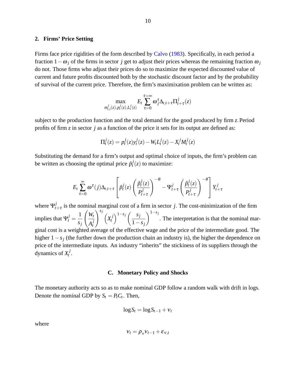#### <span id="page-10-0"></span>**2. Firms' Price Setting**

Firms face price rigidities of the form described by [Calvo](#page-49-9) [\(1983\)](#page-49-9). Specifically, in each period a fraction  $1 - \omega_i$  of the firms in sector *j* get to adjust their prices whereas the remaining fraction  $\omega_i$ do not. Those firms who adjust their prices do so to maximize the expected discounted value of current and future profits discounted both by the stochastic discount factor and by the probability of survival of the current price. Therefore, the firm's maximixation problem can be written as:

$$
\max_{m_{t,i}^j(z),p_t^j(z),L_t^j(z)} E_t \sum_{\tau=0}^{\tau=\infty} \omega_j^{\tau} \Delta_{t,t+\tau} \Pi_{t+\tau}^j(z)
$$

subject to the production function and the total demand for the good produced by firm *z*:Period profits of firm *z* in sector *j* as a function of the price it sets for its output are defined as:

$$
\Pi_t^j(z) = p_t^j(z) y_t^j(z) - W_t L_t^j(z) - X_t^j M_t^j(z)
$$

Substituting the demand for a firm's output and optimal choice of inputs, the firm's problem can be written as choosing the optimal price  $\tilde{p}_t^j$  $t^{J}(z)$  to maximize:

$$
E_t \sum_{\tau=0}^{\infty} \omega^{\tau}(j) \Delta_{t,t+\tau} \left[ \tilde{p}_t^{j}(z) \left( \frac{\tilde{p}_t^{j}(z)}{P_{t+\tau}^{j}} \right)^{-\theta} - \Psi_{t+\tau}^{j} \left( \frac{\tilde{p}_t^{j}(z)}{P_{t+\tau}^{j}} \right)^{-\theta} \right] Y_{t+\tau}^{j}
$$

where  $\Psi_t^j$  $t_{t+\tau}$  is the nominal marginal cost of a firm in sector *j*. The cost-minimization of the firm implies that  $\Psi_t^j =$ 1 *sj*  $\bigwedge$  $A_t^j$ *t*  $\bigg\}^{s_j}$   $\bigg(X_t^j\bigg)$ *t*  $\bigwedge^{1-s_j}$  *s<sub>j</sub>*  $1-s_j$  $\sqrt{1-s_j}$ . The interpretation is that the nominal marginal cost is a weighted average of the effective wage and the price of the intermediate good. The higher  $1 - s_j$  (the further down the production chain an industry is), the higher the dependence on price of the intermediate inputs. An industry "inherits" the stickiness of its suppliers through the dynamics of  $X_t^j$ *t* .

## **C. Monetary Policy and Shocks**

<span id="page-10-1"></span>The monetary authority acts so as to make nominal GDP follow a random walk with drift in logs. Denote the nominal GDP by  $S_t = P_t C_t$ . Then,

$$
\log S_t = \log S_{t-1} + v_t
$$

where

$$
v_t = \rho_v v_{t-1} + \varepsilon_{v,t}
$$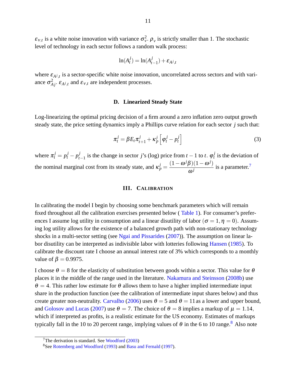$\varepsilon_{v,t}$  is a white noise innovation with variance  $\sigma_v^2$ .  $\rho_v$  is strictly smaller than 1. The stochastic level of technology in each sector follows a random walk process:

$$
\ln(A_t^j) = \ln(A_{t-1}^j) + \varepsilon_{A^j,t}
$$

where  $\varepsilon_{A^{j},t}$  is a sector-specific white noise innovation, uncorrelated across sectors and with variance  $\sigma_{Aj}^2$ .  $\varepsilon_{A^j,t}$  and  $\varepsilon_{v,t}$  are independent processes.

## **D. Linearized Steady State**

<span id="page-11-0"></span>Log-linearizing the optimal pricing decision of a firm around a zero inflation zero output growth steady state, the price setting dynamics imply a Phillips curve relation for each sector *j* such that:

$$
\pi_t^j = \beta E_t \pi_{t+1}^j + \kappa_p^j \left[ \varphi_t^j - p_t^j \right]
$$
\n(3)

where  $\pi_t^j = p_t^j - p_t^j$  $\frac{d}{dt}$  is the change in sector *j*'s (log) price from  $t - 1$  to *t*:  $\varphi_t^j$  $t \to t$  is the deviation of the nominal marginal cost from its steady state, and  $\kappa_p^j = \frac{(1 - \omega^j \beta)(1 - \omega^j)}{2^{j}}$  $\omega^j$ is a parameter.<sup>[7](#page-11-2)</sup>

#### **III. CALIBRATION**

<span id="page-11-1"></span>In calibrating the model I begin by choosing some benchmark parameters which will remain fixed throughout all the calibration exercises presented below ( [Table 1\)](#page-29-0). For consumer's preferences I assume log utility in consumption and a linear disutility of labor ( $\sigma = 1, \eta = 0$ ). Assuming log utility allows for the existence of a balanced growth path with non-stationary technology shocks in a multi-sector setting (see [Ngai and Pissarides](#page-50-7) [\(2007\)](#page-50-7)). The assumption on linear labor disutility can be interpreted as indivisible labor with lotteries following [Hansen](#page-49-10) [\(1985\)](#page-49-10). To calibrate the discount rate I choose an annual interest rate of 3% which corresponds to a monthly value of  $\beta = 0.9975$ .

I choose  $\theta = 8$  for the elasticity of substitution between goods within a sector. This value for  $\theta$ places it in the middle of the range used in the literature. [Nakamura and Steinsson](#page-50-1) [\(2008b\)](#page-50-1) use  $\theta = 4$ . This rather low estimate for  $\theta$  allows them to have a higher implied intermediate input share in the production function (see the calibration of intermediate input shares below) and thus create greater non-neutrality. [Carvalho](#page-49-6) [\(2006\)](#page-49-6) uses  $\theta = 5$  and  $\theta = 11$  as a lower and upper bound, and [Golosov and Lucas](#page-49-1) [\(2007\)](#page-49-1) use  $\theta = 7$ . The choice of  $\theta = 8$  implies a markup of  $\mu = 1.14$ , which if interpreted as profits, is a realistic estimate for the US economy. Estimates of markups typically fall in the 10 to 20 percent range, implying values of  $\theta$  in the 6 to 10 range.<sup>[8](#page-11-3)</sup> Also note

<span id="page-11-2"></span> $7$ The derivation is standard. See [Woodford](#page-50-5) [\(2003\)](#page-50-5)

<span id="page-11-3"></span><sup>8</sup>See [Rotemberg and Woodford](#page-50-8) [\(1993\)](#page-50-8) and [Basu and Fernald](#page-49-11) [\(1997\)](#page-49-11).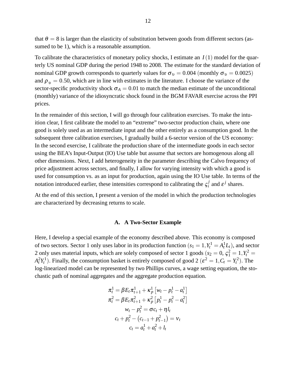that  $\theta = 8$  is larger than the elasticity of substitution between goods from different sectors (assumed to be 1), which is a reasonable assumption.

To calibrate the characteristics of monetary policy shocks, I estimate an *I*(1) model for the quarterly US nominal GDP during the period 1948 to 2008. The estimate for the standard deviation of nominal GDP growth corresponds to quarterly values for  $\sigma_v = 0.004$  (monthly  $\sigma_v = 0.0025$ ) and  $\rho_v = 0.50$ , which are in line with estimates in the literature. I choose the variance of the sector-specific productivity shock  $\sigma_A = 0.01$  to match the median estimate of the unconditional (monthly) variance of the idiosyncratic shock found in the BGM FAVAR exercise across the PPI prices.

In the remainder of this section, I will go through four calibration exercises. To make the intuition clear, I first calibrate the model to an "extreme" two-sector production chain, where one good is solely used as an intermediate input and the other entirely as a consumption good. In the subsequent three calibration exercises, I gradually build a 6-sector version of the US economy: In the second exercise, I calibrate the production share of the intermediate goods in each sector using the BEA's Input-Output (IO) Use table but assume that sectors are homogenous along all other dimensions. Next, I add heterogeneity in the parameter describing the Calvo frequency of price adjustment across sectors, and finally, I allow for varying intensity with which a good is used for consumption vs. as an input for production, again using the IO Use table. In terms of the notation introduced earlier, these intensities correspond to calibrating the  $\zeta_i^j$  $i$ <sup>*j*</sup> and  $\varepsilon$ <sup>*j*</sup> shares.

At the end of this section, I present a version of the model in which the production technologies are characterized by decreasing returns to scale.

### **A. A Two-Sector Example**

<span id="page-12-0"></span>Here, I develop a special example of the economy described above. This economy is composed of two sectors. Sector 1 only uses labor in its production function  $(s_1 = 1, Y_t^1 = A_t^1 L_t)$ , and sector 2 only uses material inputs, which are solely composed of sector 1 goods ( $s_2 = 0$ ,  $\zeta_1^2 = 1, Y_t^2 = 1$  $A_t^2 Y_t^1$ ). Finally, the consumption basket is entirely composed of good 2 ( $\varepsilon^2 = 1, C_t = Y_t^2$ ). The log-linearized model can be represented by two Phillips curves, a wage setting equation, the stochastic path of nominal aggregates and the aggregate production equation.

$$
\pi_t^1 = \beta E_t \pi_{t+1}^1 + \kappa_p^1 \left[ w_t - p_t^1 - a_t^1 \right]
$$
  
\n
$$
\pi_t^2 = \beta E_t \pi_{t+1}^2 + \kappa_p^2 \left[ p_t^1 - p_t^2 - a_t^2 \right]
$$
  
\n
$$
w_t - p_t^2 = \sigma c_t + \eta l_t
$$
  
\n
$$
c_t + p_t^2 - (c_{t-1} + p_{t-1}^2) = v_t
$$
  
\n
$$
c_t = a_t^1 + a_t^2 + l_t
$$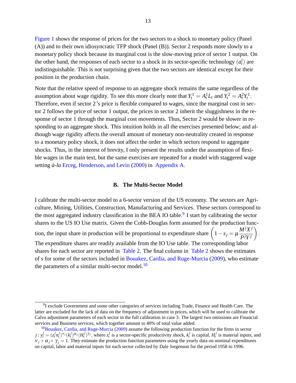[Figure 1](#page-37-0) shows the response of prices for the two sectors to a shock to monetary policy (Panel (A)) and to their own idiosyncratic TFP shock (Panel (B)). Sector 2 responds more slowly to a monetary policy shock because its marginal cost is the slow-moving price of sector 1 output. On the other hand, the responses of each sector to a shock in its sector-specific technology  $(a_t^i)$  are indistinguishable. This is not surprising given that the two sectors are identical except for their position in the production chain.

Note that the relative speed of response to an aggregate shock remains the same regardless of the assumption about wage rigidity. To see this more clearly note that  $Y_t^1 = A_t^1 L_t$  and  $Y_t^2 = A_t^2 Y_t^1$ . Therefore, even if sector 2's price is flexible compared to wages, since the marginal cost in sector 2 follows the price of sector 1 output, the prices in sector 2 inherit the sluggishness in the response of sector 1 through the marginal cost movements. Thus, Sector 2 would be slower in responding to an aggregate shock. This intuition holds in all the exercises presented below; and although wage rigidity affects the overall amount of monetary non-neutrality created in response to a monetary policy shock, it does not affect the order in which sectors respond to aggregate shocks. Thus, in the interest of brevity, I only present the results under the assumption of flexible wages in the main text, but the same exercises are repeated for a model with staggered wage setting *à-la* [Erceg, Henderson, and Levin](#page-49-12) [\(2000\)](#page-49-12) in [Appendix A.](#page-25-0)

#### **B. The Multi-Sector Model**

<span id="page-13-0"></span>I calibrate the multi-sector model to a 6-sector version of the US economy. The sectors are Agriculture, Mining, Utilities, Construction, Manufacturing and Services. These sectors correspond to the most aggregated industry classification in the BEA IO table.<sup>[9](#page-13-1)</sup> I start by calibrating the sector shares to the US IO Use matrix. Given the Cobb-Douglas form assumed for the production function, the input share in production will be proportional to expenditure share  $(1 - s_j = \mu)$  $M^j X^j$ *PjY j*  $\setminus$ : The expenditure shares are readily available from the IO Use table. The corresponding labor shares for each sector are reported in [Table 2.](#page-30-0) The final column in [Table 2](#page-30-0) shows the estimates of *s* for some of the sectors included in [Bouakez, Cardia, and Ruge-Murcia](#page-49-7) [\(2009\)](#page-49-7), who estimate the parameters of a similar multi-sector model.<sup>[10](#page-13-2)</sup>

<span id="page-13-1"></span><sup>&</sup>lt;sup>9</sup>I exclude Government and some other categories of services including Trade, Finance and Health Care. The latter are excluded for the lack of data on the frequency of adjustment in prices, which will be used to calibrate the Calvo adjustment parameters of each sector in the full calibration in case 3. The largest two omissions are Financial services and Business services, which together amount to 40% of total value added.

<span id="page-13-2"></span><sup>&</sup>lt;sup>10</sup>[Bouakez, Cardia, and Ruge-Murcia](#page-49-7) [\(2009\)](#page-49-7) assume the following production function for the firms in sector  $j: y_t^j = (z_t^j n_t^j)^{v_j} (k_t^j)^{\alpha_j} (H_t^j)^{\gamma_j}$ , where  $z_t^j$  is a sector-specific productivity shock,  $k_t^j$  is capital,  $H_t^j$  is material inputs, and  $v_i + \alpha_j + \gamma_j = 1$ . They estimate the production function parameters using the yearly data on nominal expenditures on capital, labor and material inputs for each sector collected by Dale Jorgenson for the period 1958 to 1996.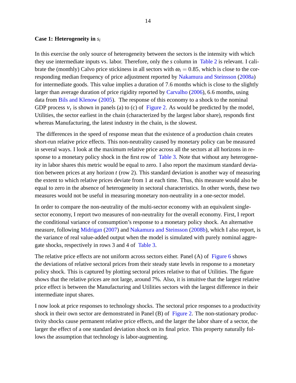## **Case 1: Heterogeneity in** *s<sup>i</sup>*

In this exercise the only source of heterogeneity between the sectors is the intensity with which they use intermediate inputs vs. labor. Therefore, only the *s* column in [Table 2](#page-30-0) is relevant. I calibrate the (monthly) Calvo price stickiness in all sectors with  $\omega_i = 0.85$ , which is close to the corresponding median frequency of price adjustment reported by [Nakamura and Steinsson](#page-50-0) [\(2008a\)](#page-50-0) for intermediate goods. This value implies a duration of 7:6 months which is close to the slightly larger than average duration of price rigidity reported by [Carvalho](#page-49-6) [\(2006\)](#page-49-6), 6:6 months, using data from [Bils and Klenow](#page-49-3) [\(2005\)](#page-49-3). The response of this economy to a shock to the nominal GDP process  $v_t$  is shown in panels (a) to (c) of [Figure 2.](#page-38-0) As would be predicted by the model, Utilities, the sector earliest in the chain (characterized by the largest labor share), responds first whereas Manufacturing, the latest industry in the chain, is the slowest.

The differences in the speed of response mean that the existence of a production chain creates short-run relative price effects. This non-neutrality caused by monetary policy can be measured in several ways. I look at the maximum relative price across all the sectors at all horizons in response to a monetary policy shock in the first row of [Table 3.](#page-31-0) Note that without any heterogeneity in labor shares this metric would be equal to zero. I also report the maximum standard deviation between prices at any horizon *t* (row 2). This standard deviation is another way of measuring the extent to which relative prices deviate from 1 at each time. Thus, this measure would also be equal to zero in the absence of heterogeneity in sectoral characteristics. In other words, these two measures would not be useful in measuring monetary non-neutrality in a one-sector model.

In order to compare the non-neutrality of the multi-sector economy with an equivalent singlesector economy, I report two measures of non-neutrality for the overall economy. First, I report the conditional variance of consumption's response to a monetary policy shock. An alternative measure, following [Midrigan](#page-50-9) [\(2007\)](#page-50-9) and [Nakamura and Steinsson](#page-50-1) [\(2008b\)](#page-50-1), which I also report, is the variance of real value-added output when the model is simulated with purely nominal aggregate shocks, respectively in rows 3 and 4 of [Table 3.](#page-31-0)

The relative price effects are not uniform across sectors either. Panel (A) of [Figure 6](#page-42-0) shows the deviations of relative sectoral prices from their steady state levels in response to a monetary policy shock. This is captured by plotting sectoral prices relative to that of Utilities. The figure shows that the relative prices are not large, around 7%. Also, it is intuitive that the largest relative price effect is between the Manufacturing and Utilities sectors with the largest difference in their intermediate input shares.

I now look at price responses to technology shocks. The sectoral price responses to a productivity shock in their own sector are demonstrated in Panel (B) of [Figure 2.](#page-38-0) The non-stationary productivity shocks cause permanent relative price effects, and the larger the labor share of a sector, the larger the effect of a one standard deviation shock on its final price. This property naturally follows the assumption that technology is labor-augmenting.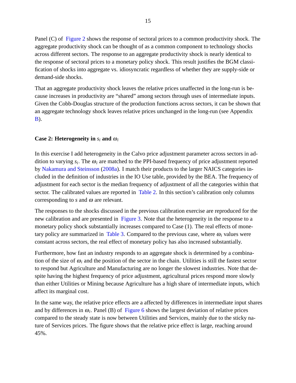Panel (C) of [Figure 2](#page-38-0) shows the response of sectoral prices to a common productivity shock. The aggregate productivity shock can be thought of as a common component to technology shocks across different sectors. The response to an aggregate productivity shock is nearly identical to the response of sectoral prices to a monetary policy shock. This result justifies the BGM classification of shocks into aggregate vs. idiosyncratic regardless of whether they are supply-side or demand-side shocks.

That an aggregate productivity shock leaves the relative prices unaffected in the long-run is because increases in productivity are "shared" among sectors through uses of intermediate inputs. Given the Cobb-Douglas structure of the production functions across sectors, it can be shown that an aggregate technology shock leaves relative prices unchanged in the long-run (see Appendix [B\)](#page-25-1).

# **Case 2: Heterogeneity in**  $s_i$  and  $\omega_i$

In this exercise I add heterogeneity in the Calvo price adjustment parameter across sectors in addition to varying  $s_i$ . The  $\omega_i$  are matched to the PPI-based frequency of price adjustment reported by [Nakamura and Steinsson](#page-50-0) [\(2008a\)](#page-50-0). I match their products to the larger NAICS categories included in the definition of industries in the IO Use table, provided by the BEA. The frequency of adjustment for each sector is the median frequency of adjustment of all the categories within that sector. The calibrated values are reported in [Table 2.](#page-30-0) In this section's calibration only columns corresponding to  $s$  and  $\omega$  are relevant.

The responses to the shocks discussed in the previous calibration exercise are reproduced for the new calibration and are presented in [Figure 3.](#page-39-0) Note that the heterogeneity in the response to a monetary policy shock substantially increases compared to Case (1). The real effects of mone-tary policy are summarized in [Table 3.](#page-31-0) Compared to the previous case, where  $\omega_i$  values were constant across sectors, the real effect of monetary policy has also increased substantially.

Furthermore, how fast an industry responds to an aggregate shock is determined by a combination of the size of  $\omega_i$  and the position of the sector in the chain. Utilities is still the fastest sector to respond but Agriculture and Manufacturing are no longer the slowest industries. Note that despite having the highest frequency of price adjustment, agricultural prices respond more slowly than either Utilities or Mining because Agriculture has a high share of intermediate inputs, which affect its marginal cost.

In the same way, the relative price effects are a affected by differences in intermediate input shares and by differences in  $\omega_i$ . Panel (B) of [Figure 6](#page-42-0) shows the largest deviation of relative prices compared to the steady state is now between Utilities and Services, mainly due to the sticky nature of Services prices. The figure shows that the relative price effect is large, reaching around 45%.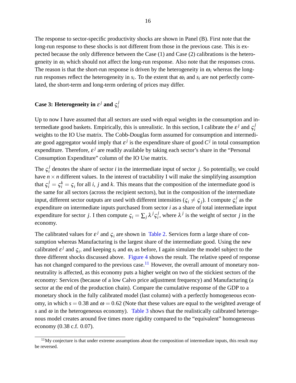The response to sector-specific productivity shocks are shown in Panel (B). First note that the long-run response to these shocks is not different from those in the previous case. This is expected because the only difference between the Case (1) and Case (2) calibrations is the heterogeneity in  $\omega_i$  which should not affect the long-run response. Also note that the responses cross. The reason is that the short-run response is driven by the heterogeneity in  $\omega_i$  whereas the longrun responses reflect the heterogeneity in  $s_i$ . To the extent that  $\omega_i$  and  $s_i$  are not perfectly correlated, the short-term and long-term ordering of prices may differ.

#### **Case 3: Heterogeneity in**  $\varepsilon^{j}$  and  $\varsigma^{j}_{i}$ *i*

Up to now I have assumed that all sectors are used with equal weights in the consumption and intermediate good baskets. Empirically, this is unrealistic. In this section, I calibrate the  $\varepsilon^j$  and  $\zeta_i^j$ *i* weights to the IO Use matrix. The Cobb-Douglas form assumed for consumption and intermediate good aggregator would imply that  $\varepsilon^j$  is the expenditure share of good  $C^j$  in total consumption expenditure. Therefore,  $\varepsilon^j$  are readily available by taking each sector's share in the "Personal Consumption Expenditure" column of the IO Use matrix.

The  $\varsigma_i^j$  $i<sub>i</sub>$  denotes the share of sector *i* in the intermediate input of sector *j*. So potentially, we could have  $n \times n$  different values. In the interest of tractability I will make the simplifying assumption that  $\zeta_i^j = \zeta_i^k = \zeta_i$  for all *i*, *j* and *k*. This means that the composition of the intermediate good is the same for all sectors (across the recipient sectors), but in the composition of the intermediate input, different sector outputs are used with different intensities ( $\zeta_i \neq \zeta_j$ ). I compute  $\zeta_i^j$  $\frac{J}{i}$  as the expenditure on intermediate inputs purchased from sector *i* as a share of total intermediate input expenditure for sector *j*. I then compute  $\varsigma_i = \sum_j \lambda^j \varsigma_i^j$  $i$ <sup>*j*</sup>, where  $\lambda$ <sup>*j*</sup> is the weight of sector *j* in the economy.

The calibrated values for  $\varepsilon^j$  and  $\varsigma_i$  are shown in [Table 2.](#page-30-0) Services form a large share of consumption whereas Manufacturing is the largest share of the intermediate good. Using the new calibrated  $\varepsilon^j$  and  $\zeta_i$ , and keeping  $s_i$  and  $\omega_i$  as before, I again simulate the model subject to the three different shocks discussed above. [Figure 4](#page-40-0) shows the result. The relative speed of response has not changed compared to the previous case.<sup>[11](#page-16-0)</sup> However, the overall amount of monetary nonneutrality is affected, as this economy puts a higher weight on two of the stickiest sectors of the economy: Services (because of a low Calvo price adjustment frequency) and Manufacturing (a sector at the end of the production chain). Compare the cumulative response of the GDP to a monetary shock in the fully calibrated model (last column) with a perfectly homogeneous economy, in which  $s = 0.38$  and  $\omega = 0.62$  (Note that these values are equal to the weighted average of *s* and  $\omega$  in the heterogeneous economy). [Table 3](#page-31-0) shows that the realistically calibrated heterogenous model creates around five times more rigidity compared to the "equivalent" homogeneous economy (0.38 c.f. 0.07).

<span id="page-16-0"></span> $11$ My conjecture is that under extreme assumptions about the composition of intermediate inputs, this result may be reversed.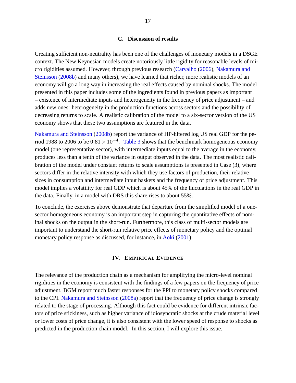## **C. Discussion of results**

<span id="page-17-0"></span>Creating sufficient non-neutrality has been one of the challenges of monetary models in a DSGE context. The New Keynesian models create notoriously little rigidity for reasonable levels of micro rigidities assumed. However, through previous research [\(Carvalho](#page-49-6) [\(2006\)](#page-49-6), [Nakamura and](#page-50-1) [Steinsson](#page-50-1) [\(2008b\)](#page-50-1) and many others), we have learned that richer, more realistic models of an economy will go a long way in increasing the real effects caused by nominal shocks. The model presented in this paper includes some of the ingredients found in previous papers as important – existence of intermediate inputs and heterogeneity in the frequency of price adjustment – and adds new ones: heterogeneity in the production functions across sectors and the possibility of decreasing returns to scale. A realistic calibration of the model to a six-sector version of the US economy shows that these two assumptions are featured in the data.

[Nakamura and Steinsson](#page-50-1) [\(2008b\)](#page-50-1) report the variance of HP-filtered log US real GDP for the period 1988 to 2006 to be  $0.81 \times 10^{-4}$ . [Table 3](#page-31-0) shows that the benchmark homogeneous economy model (one representative sector), with intermediate inputs equal to the average in the economy, produces less than a tenth of the variance in output observed in the data. The most realistic calibration of the model under constant returns to scale assumptions is presented in Case (3), where sectors differ in the relative intensity with which they use factors of production, their relative sizes in consumption and intermediate input baskets and the frequency of price adjustment. This model implies a volatility for real GDP which is about 45% of the fluctuations in the real GDP in the data. Finally, in a model with DRS this share rises to about 55%.

To conclude, the exercises above demonstrate that departure from the simplified model of a onesector homogeneous economy is an important step in capturing the quantitative effects of nominal shocks on the output in the short-run. Furthermore, this class of multi-sector models are important to understand the short-run relative price effects of monetary policy and the optimal monetary policy response as discussed, for instance, in [Aoki](#page-49-13) [\(2001\)](#page-49-13).

## **IV. EMPIRICAL EVIDENCE**

<span id="page-17-1"></span>The relevance of the production chain as a mechanism for amplifying the micro-level nominal rigidities in the economy is consistent with the findings of a few papers on the frequency of price adjustment. BGM report much faster responses for the PPI to monetary policy shocks compared to the CPI. [Nakamura and Steinsson](#page-50-0) [\(2008a\)](#page-50-0) report that the frequency of price change is strongly related to the stage of processing. Although this fact could be evidence for different intrinsic factors of price stickiness, such as higher variance of idiosyncratic shocks at the crude material level or lower costs of price change, it is also consistent with the lower speed of response to shocks as predicted in the production chain model. In this section, I will explore this issue.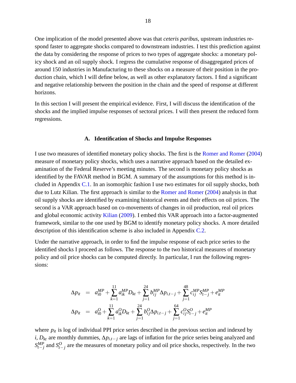One implication of the model presented above was that *ceteris paribus*, upstream industries respond faster to aggregate shocks compared to downstream industries. I test this prediction against the data by considering the response of prices to two types of aggregate shocks: a monetary policy shock and an oil supply shock. I regress the cumulative response of disaggregated prices of around 150 industries in Manufacturing to these shocks on a measure of their position in the production chain, which I will define below, as well as other explanatory factors. I find a significant and negative relationship between the position in the chain and the speed of response at different horizons.

In this section I will present the empirical evidence. First, I will discuss the identification of the shocks and the implied impulse responses of sectoral prices. I will then present the reduced form regressions.

# **A. Identification of Shocks and Impulse Responses**

<span id="page-18-0"></span>I use two measures of identified monetary policy shocks. The first is the [Romer and Romer](#page-50-10) [\(2004\)](#page-50-10) measure of monetary policy shocks, which uses a narrative approach based on the detailed examination of the Federal Reserve's meeting minutes. The second is monetary policy shocks as identified by the FAVAR method in BGM. A summary of the assumptions for this method is included in Appendix [C.1.](#page-12-0) In an isomorphic fashion I use two estimates for oil supply shocks, both due to Lutz Kilian. The first approach is similar to the [Romer and Romer](#page-50-10) [\(2004\)](#page-50-10) analysis in that oil supply shocks are identified by examining historical events and their effects on oil prices. The second is a VAR approach based on co-movements of changes in oil production, real oil prices and global economic activity [Kilian](#page-49-14) [\(2009\)](#page-49-14). I embed this VAR approach into a factor-augmented framework, similar to the one used by BGM to identify monetary policy shocks. A more detailed description of this identification scheme is also included in Appendix [C.2.](#page-13-0)

Under the narrative approach, in order to find the impulse response of each price series to the identified shocks I proceed as follows. The response to the two historical measures of monetary policy and oil price shocks can be computed directly. In particular, I run the following regressions:

$$
\Delta p_{it} = a_{i0}^{MP} + \sum_{k=1}^{11} a_{ik}^{MP} D_{kt} + \sum_{j=1}^{24} b_{ij}^{MP} \Delta p_{i,t-j} + \sum_{j=1}^{48} c_{ij}^{MP} S_{t-j}^{MP} + e_{it}^{MP}
$$
  
\n
$$
\Delta p_{it} = a_{i0}^{O} + \sum_{k=1}^{11} a_{ik}^{O} D_{kt} + \sum_{j=1}^{24} b_{ij}^{O} \Delta p_{i,t-j} + \sum_{j=1}^{64} c_{ij}^{O} S_{t-j}^{O} + e_{it}^{MP}
$$

where  $p_{it}$  is log of individual PPI price series described in the previous section and indexed by *i*,  $D_{kt}$  are monthly dummies,  $\Delta p_{i,t-j}$  are lags of inflation for the price series being analyzed and  $S_{t-j}^{MP}$  and  $S_{t-j}^{O}$  are the measures of monetary policy and oil price shocks, respectively. In the two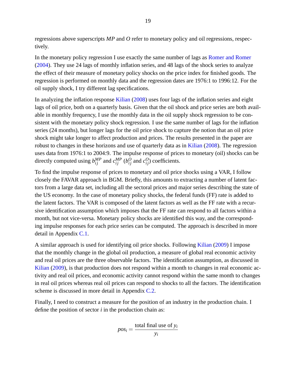regressions above superscripts *MP* and *O* refer to monetary policy and oil regressions, respectively.

In the monetary policy regression I use exactly the same number of lags as [Romer and Romer](#page-50-10) [\(2004\)](#page-50-10). They use 24 lags of monthly inflation series, and 48 lags of the shock series to analyze the effect of their measure of monetary policy shocks on the price index for finished goods. The regression is performed on monthly data and the regression dates are 1976:1 to 1996:12. For the oil supply shock, I try different lag specifications.

In analyzing the inflation response [Kilian](#page-49-15) [\(2008\)](#page-49-15) uses four lags of the inflation series and eight lags of oil price, both on a quarterly basis. Given that the oil shock and price series are both available in monthly frequency, I use the monthly data in the oil supply shock regression to be consistent with the monetary policy shock regression. I use the same number of lags for the inflation series (24 months), but longer lags for the oil price shock to capture the notion that an oil price shock might take longer to affect production and prices. The results presented in the paper are robust to changes in these horizons and use of quarterly data as in [Kilian](#page-49-15) [\(2008\)](#page-49-15). The regression uses data from 1976:1 to 2004:9. The impulse response of prices to monetary (oil) shocks can be directly computed using  $b_{ij}^{MP}$  and  $c_{ij}^{MP}$  ( $b_{ij}^O$  and  $c_{ij}^O$ ) coefficients.

To find the impulse response of prices to monetary and oil price shocks using a VAR, I follow closely the FAVAR approach in BGM. Briefly, this amounts to extracting a number of latent factors from a large data set, including all the sectoral prices and major series describing the state of the US economy. In the case of monetary policy shocks, the federal funds (FF) rate is added to the latent factors. The VAR is composed of the latent factors as well as the FF rate with a recursive identification assumption which imposes that the FF rate can respond to all factors within a month, but not vice-versa. Monetary policy shocks are identified this way, and the corresponding impulse responses for each price series can be computed. The approach is described in more detail in Appendix [C.1.](#page-12-0)

A similar approach is used for identifying oil price shocks. Following [Kilian](#page-49-14) [\(2009\)](#page-49-14) I impose that the monthly change in the global oil production, a measure of global real economic activity and real oil prices are the three observable factors. The identification assumption, as discussed in [Kilian](#page-49-14) [\(2009\)](#page-49-14), is that production does not respond within a month to changes in real economic activity and real oil prices, and economic activity cannot respond within the same month to changes in real oil prices whereas real oil prices can respond to shocks to all the factors. The identification scheme is discussed in more detail in Appendix [C.2.](#page-13-0)

Finally, I need to construct a measure for the position of an industry in the production chain. I define the position of sector *i* in the production chain as:

$$
pos_i = \frac{\text{total final use of } y_i}{y_i}
$$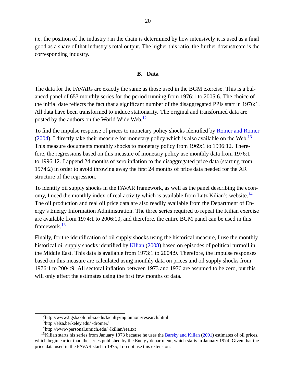i.e. the position of the industry *i* in the chain is determined by how intensively it is used as a final good as a share of that industry's total output. The higher this ratio, the further downstream is the corresponding industry.

## **B. Data**

<span id="page-20-0"></span>The data for the FAVARs are exactly the same as those used in the BGM exercise. This is a balanced panel of 653 monthly series for the period running from 1976:1 to 2005:6. The choice of the initial date reflects the fact that a significant number of the disaggregated PPIs start in 1976:1. All data have been transformed to induce stationarity. The original and transformed data are posted by the authors on the World Wide Web.<sup>[12](#page-20-1)</sup>

To find the impulse response of prices to monetary policy shocks identified by [Romer and Romer](#page-50-10)  $(2004)$ , I directly take their measure for monetary policy which is also available on the Web.<sup>[13](#page-20-2)</sup> This measure documents monthly shocks to monetary policy from 1969:1 to 1996:12. Therefore, the regressions based on this measure of monetary policy use monthly data from 1976:1 to 1996:12. I append 24 months of zero inflation to the disaggregated price data (starting from 1974:2) in order to avoid throwing away the first 24 months of price data needed for the AR structure of the regression.

To identify oil supply shocks in the FAVAR framework, as well as the panel describing the econ-omy, I need the monthly index of real activity which is available from Lutz Kilian's website.<sup>[14](#page-20-3)</sup> The oil production and real oil price data are also readily available from the Department of Energy's Energy Information Administration. The three series required to repeat the Kilian exercise are available from 1974:1 to 2006:10, and therefore, the entire BGM panel can be used in this framework.[15](#page-20-4)

Finally, for the identification of oil supply shocks using the historical measure, I use the monthly historical oil supply shocks identified by [Kilian](#page-49-15) [\(2008\)](#page-49-15) based on episodes of political turmoil in the Middle East. This data is available from 1973:1 to 2004:9. Therefore, the impulse responses based on this measure are calculated using monthly data on prices and oil supply shocks from 1976:1 to 2004:9. All sectoral inflation between 1973 and 1976 are assumed to be zero, but this will only affect the estimates using the first few months of data.

<span id="page-20-1"></span><sup>12</sup>http://www2.gsb.columbia.edu/faculty/mgiannoni/research.html

<span id="page-20-2"></span><sup>13</sup>http://elsa.berkeley.edu/~dromer/

<span id="page-20-4"></span><span id="page-20-3"></span><sup>14</sup>http://www-personal.umich.edu/~lkilian/rea.txt

<sup>&</sup>lt;sup>15</sup>Kilian starts his series from January 1973 because he uses the [Barsky and Kilian](#page-49-16) [\(2001\)](#page-49-16) estimates of oil prices, which begin earlier than the series published by the Energy department, which starts in January 1974. Given that the price data used in the FAVAR start in 1975, I do not use this extension.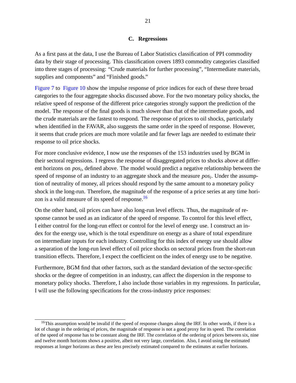# **C. Regressions**

<span id="page-21-0"></span>As a first pass at the data, I use the Bureau of Labor Statistics classification of PPI commodity data by their stage of processing. This classification covers 1893 commodity categories classified into three stages of processing: "Crude materials for further processing", "Intermediate materials, supplies and components" and "Finished goods."

[Figure 7](#page-43-0) to [Figure 10](#page-45-0) show the impulse response of price indices for each of these three broad categories to the four aggregate shocks discussed above. For the two monetary policy shocks, the relative speed of response of the different price categories strongly support the prediction of the model. The response of the final goods is much slower than that of the intermediate goods, and the crude materials are the fastest to respond. The response of prices to oil shocks, particularly when identified in the FAVAR, also suggests the same order in the speed of response. However, it seems that crude prices are much more volatile and far fewer lags are needed to estimate their response to oil price shocks.

For more conclusive evidence, I now use the responses of the 153 industries used by BGM in their sectoral regressions. I regress the response of disaggregated prices to shocks above at different horizons on *pos<sup>i</sup>* , defined above. The model would predict a negative relationship between the speed of response of an industry to an aggregate shock and the measure *pos<sup>i</sup>* . Under the assumption of neutrality of money, all prices should respond by the same amount to a monetary policy shock in the long-run. Therefore, the magnitude of the response of a price series at any time horizon is a valid measure of its speed of response.[16](#page-21-1)

On the other hand, oil prices can have also long-run level effects. Thus, the magnitude of response cannot be used as an indicator of the speed of response. To control for this level effect, I either control for the long-run effect or control for the level of energy use. I construct an index for the energy use, which is the total expenditure on energy as a share of total expenditure on intermediate inputs for each industry. Controlling for this index of energy use should allow a separation of the long-run level effect of oil price shocks on sectoral prices from the short-run transition effects. Therefore, I expect the coefficient on the index of energy use to be negative.

Furthermore, BGM find that other factors, such as the standard deviation of the sector-specific shocks or the degree of competition in an industry, can affect the dispersion in the response to monetary policy shocks. Therefore, I also include those variables in my regressions. In particular, I will use the following specifications for the cross-industry price responses:

<span id="page-21-1"></span><sup>&</sup>lt;sup>16</sup>This assumption would be invalid if the speed of response changes along the IRF. In other words, if there is a lot of change in the ordering of prices, the magnitude of response is not a good proxy for its speed. The correlation of the speed of response has to be constant along the IRF. The correlation of the ordering of prices between six, nine and twelve month horizons shows a positive, albeit not very large, correlation. Also, I avoid using the estimated responses at longer horizons as these are less precisely estimated compared to the estimates at earlier horizons.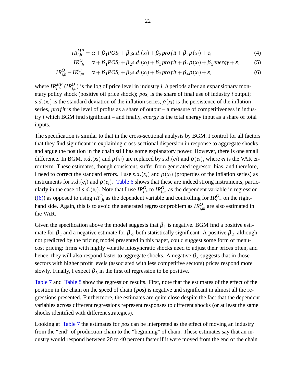<span id="page-22-0"></span>
$$
IR_{i,h}^{MP} = \alpha + \beta_1 POS_i + \beta_2 s.d.(x_i) + \beta_3 profit + \beta_4 \rho(x_i) + \varepsilon_i
$$
\n(4)

$$
IR_{i,h}^{O} = \alpha + \beta_1 POS_i + \beta_2 s.d.(x_i) + \beta_3 profit + \beta_4 \rho(x_i) + \beta_5 energy + \varepsilon_i
$$
 (5)

$$
IR_{i,h}^O - IR_{i,m}^O = \alpha + \beta_1 POS_i + \beta_2 s.d.(x_i) + \beta_3 profit + \beta_4 \rho(x_i) + \varepsilon_i
$$
\n(6)

where  $IR_{i,h}^{MP}$  ( $IR_{i,h}^{O}$ ) is the log of price level in industry *i*, *h* periods after an expansionary monetary policy shock (positive oil price shock); *pos<sup>i</sup>* is the share of final use of industry *i* output;  $s.d.(x_i)$  is the standard deviation of the inflation series,  $\rho(x_i)$  is the persistence of the inflation series, *pro fit* is the level of profits as a share of output – a measure of competitiveness in industry *i* which BGM find significant – and finally, *energy* is the total energy input as a share of total inputs.

The specification is similar to that in the cross-sectional analysis by BGM. I control for all factors that they find significant in explaining cross-sectional dispersion in response to aggregate shocks and argue the position in the chain still has some explanatory power. However, there is one small difference. In BGM, *s.d.*( $x_i$ ) and  $\rho(x_i)$  are replaced by *s.d.*( $e_i$ ) and  $\rho(e_i)$ , where  $e_i$  is the VAR error term. These estimates, though consistent, suffer from generated regressor bias, and therefore, I need to correct the standard errors. I use *s.d.*( $x_i$ ) and  $\rho(x_i)$  (properties of the inflation series) as instruments for  $s.d.$  ( $e_i$ ) and  $\rho(e_i)$ . [Table 6](#page-34-0) shows that these are indeed strong instruments, particularly in the case of  $s.d.(x_i)$ . Note that I use  $IR_{i,h}^O$  to  $IR_{i,m}^O$  as the dependent variable in regression [\(\(6\)\)](#page-22-0) as opposed to using  $IR_{i,h}^O$  as the dependent variable and controlling for  $IR_{i,m}^O$  on the righthand side. Again, this is to avoid the generated regressor problem as  $IR_{i,m}^O$  are also estimated in the VAR.

Given the specification above the model suggests that  $\beta_1$  is negative. BGM find a positive estimate for  $\beta_2$  and a negative estimate for  $\beta_3$ , both statistically significant. A positive  $\beta_2$ , although not predicted by the pricing model presented in this paper, could suggest some form of menucost pricing: firms with highly volatile idiosyncratic shocks need to adjust their prices often, and hence, they will also respond faster to aggregate shocks. A negative  $\boldsymbol{\beta}_3$  suggests that in those sectors with higher profit levels (associated with less competitive sectors) prices respond more slowly. Finally, I expect  $\beta_5$  in the first oil regression to be positive.

[Table 7](#page-35-0) and [Table 8](#page-36-0) show the regression results. First, note that the estimates of the effect of the position in the chain on the speed of chain (*pos*) is negative and significant in almost all the regressions presented. Furthermore, the estimates are quite close despite the fact that the dependent variables across different regressions represent responses to different shocks (or at least the same shocks identified with different strategies).

Looking at [Table 7](#page-35-0) the estimates for *pos* can be interpreted as the effect of moving an industry from the "end" of production chain to the "beginning" of chain. These estimates say that an industry would respond between 20 to 40 percent faster if it were moved from the end of the chain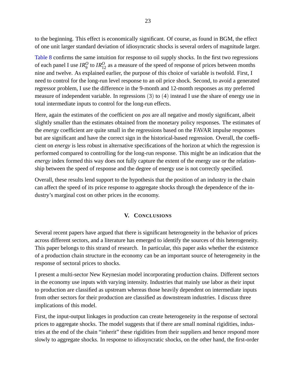to the beginning. This effect is economically significant. Of course, as found in BGM, the effect of one unit larger standard deviation of idiosyncratic shocks is several orders of magnitude larger.

[Table 8](#page-36-0) confirms the same intuition for response to oil supply shocks. In the first two regressions of each panel I use  $IR_9^O$  to  $IR_{12}^O$  as a measure of the speed of response of prices between months nine and twelve. As explained earlier, the purpose of this choice of variable is twofold. First, I need to control for the long-run level response to an oil price shock. Second, to avoid a generated regressor problem, I use the difference in the 9-month and 12-month responses as my preferred measure of independent variable. In regressions (3) to (4) instead I use the share of energy use in total intermediate inputs to control for the long-run effects.

Here, again the estimates of the coefficient on *pos* are all negative and mostly significant, albeit slightly smaller than the estimates obtained from the monetary policy responses. The estimates of the *energy* coefficient are quite small in the regressions based on the FAVAR impulse responses but are significant and have the correct sign in the historical-based regression. Overall, the coefficient on *energy* is less robust in alternative specifications of the horizon at which the regression is performed compared to controlling for the long-run response. This might be an indication that the *energy* index formed this way does not fully capture the extent of the energy use or the relationship between the speed of response and the degree of energy use is not correctly specified.

Overall, these results lend support to the hypothesis that the position of an industry in the chain can affect the speed of its price response to aggregate shocks through the dependence of the industry's marginal cost on other prices in the economy.

# **V. CONCLUSIONS**

<span id="page-23-0"></span>Several recent papers have argued that there is significant heterogeneity in the behavior of prices across different sectors, and a literature has emerged to identify the sources of this heterogeneity. This paper belongs to this strand of research. In particular, this paper asks whether the existence of a production chain structure in the economy can be an important source of heterogeneity in the response of sectoral prices to shocks.

I present a multi-sector New Keynesian model incorporating production chains. Different sectors in the economy use inputs with varying intensity. Industries that mainly use labor as their input to production are classified as upstream whereas those heavily dependent on intermediate inputs from other sectors for their production are classified as downstream industries. I discuss three implications of this model.

First, the input-output linkages in production can create heterogeneity in the response of sectoral prices to aggregate shocks. The model suggests that if there are small nominal rigidities, industries at the end of the chain "inherit" these rigidities from their suppliers and hence respond more slowly to aggregate shocks. In response to idiosyncratic shocks, on the other hand, the first-order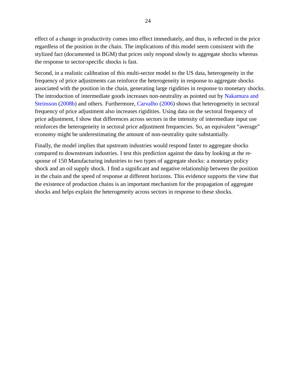effect of a change in productivity comes into effect immediately, and thus, is reflected in the price regardless of the position in the chain. The implications of this model seem consistent with the stylized fact (documented in BGM) that prices only respond slowly to aggregate shocks whereas the response to sector-specific shocks is fast.

Second, in a realistic calibration of this multi-sector model to the US data, heterogeneity in the frequency of price adjustments can reinforce the heterogeneity in response to aggregate shocks associated with the position in the chain, generating large rigidities in response to monetary shocks. The introduction of intermediate goods increases non-neutrality as pointed out by [Nakamura and](#page-50-1) [Steinsson](#page-50-1) [\(2008b\)](#page-50-1) and others. Furthermore, [Carvalho](#page-49-6) [\(2006\)](#page-49-6) shows that heterogeneity in sectoral frequency of price adjustment also increases rigidities. Using data on the sectoral frequency of price adjustment, I show that differences across sectors in the intensity of intermediate input use reinforces the heterogeneity in sectoral price adjustment frequencies. So, an equivalent "average" economy might be underestimating the amount of non-neutrality quite substantially.

Finally, the model implies that upstream industries would respond faster to aggregate shocks compared to downstream industries. I test this prediction against the data by looking at the response of 150 Manufacturing industries to two types of aggregate shocks: a monetary policy shock and an oil supply shock. I find a significant and negative relationship between the position in the chain and the speed of response at different horizons. This evidence supports the view that the existence of production chains is an important mechanism for the propagation of aggregate shocks and helps explain the heterogeneity across sectors in response to these shocks.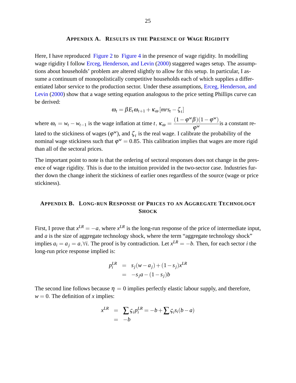#### **APPENDIX A. RESULTS IN THE PRESENCE OF WAGE RIGIDITY**

<span id="page-25-0"></span>Here, I have reproduced [Figure 2](#page-38-0) to [Figure 4](#page-40-0) in the presence of wage rigidity. In modelling wage rigidity I follow [Erceg, Henderson, and Levin](#page-49-12) [\(2000\)](#page-49-12) staggered wages setup. The assumptions about households' problem are altered slightly to allow for this setup. In particular, I assume a continuum of monopolistically competitive households each of which supplies a differentiated labor service to the production sector. Under these assumptions, [Erceg, Henderson, and](#page-49-12) [Levin](#page-49-12) [\(2000\)](#page-49-12) show that a wage setting equation analogous to the price setting Phillips curve can be derived:

$$
\boldsymbol{\omega}_t = \beta E_t \boldsymbol{\omega}_{t+1} + \kappa_{\boldsymbol{\omega}} \left[ m r s_t - \zeta_t \right]
$$

where  $\omega_t = w_t - w_{t-1}$  is the wage inflation at time *t*,  $\kappa_{\omega} = \frac{(1 - \varphi^w \beta)(1 - \varphi^w)}{\varphi^w}$  $\frac{\varphi}{\varphi^w}$  is a constant related to the stickiness of wages ( $\varphi^w$ ), and  $\zeta_t$  is the real wage. I calibrate the probability of the nominal wage stickiness such that  $\varphi^w = 0.85$ . This calibration implies that wages are more rigid than all of the sectoral prices.

The important point to note is that the ordering of sectoral responses does not change in the presence of wage rigidity. This is due to the intuition provided in the two-sector case. Industries further down the change inherit the stickiness of earlier ones regardless of the source (wage or price stickiness).

# <span id="page-25-1"></span>**APPENDIX B. LONG-RUN RESPONSE OF PRICES TO AN AGGREGATE TECHNOLOGY SHOCK**

First, I prove that  $x^{LR} = -a$ , where  $x^{LR}$  is the long-run response of the price of intermediate input, and *a* is the size of aggregate technology shock, where the term "aggregate technology shock" implies  $a_i = a_j = a, \forall i$ . The proof is by contradiction. Let  $x^{LR} = -b$ . Then, for each sector *i* the long-run price response implied is:

$$
p_i^{LR} = s_j(w - a_j) + (1 - s_j)x^{LR}
$$
  
= 
$$
-s_j a - (1 - s_j)b
$$

The second line follows because  $\eta = 0$  implies perfectly elastic labour supply, and therefore,  $w = 0$ . The definition of *x* implies:

$$
x^{LR} = \sum_{i} \varsigma_i p_i^{LR} = -b + \sum_{i} \varsigma_i s_i (b - a)
$$
  
= -b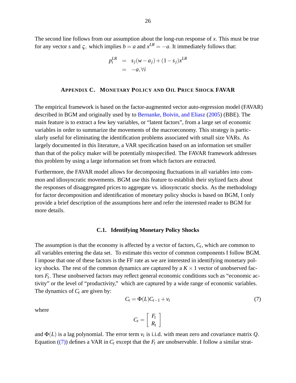The second line follows from our assumption about the long-run response of *x*: This must be true for any vector *s* and  $\zeta$ , which implies  $b = a$  and  $x^{LR} = -a$ . It immediately follows that:

$$
p_i^{LR} = s_j(w - a_j) + (1 - s_j)x^{LR}
$$
  
= -a,  $\forall i$ 

## **APPENDIX C. MONETARY POLICY AND OIL PRICE SHOCK FAVAR**

<span id="page-26-0"></span>The empirical framework is based on the factor-augmented vector auto-regression model (FAVAR) described in BGM and originally used by to [Bernanke, Boivin, and Eliasz](#page-49-17) [\(2005\)](#page-49-17) (BBE). The main feature is to extract a few key variables, or "latent factors", from a large set of economic variables in order to summarize the movements of the macroeconomy. This strategy is particularly useful for eliminating the identification problems associated with small size VARs. As largely documented in this literature, a VAR specification based on an information set smaller than that of the policy maker will be potentially misspecified. The FAVAR framework addresses this problem by using a large information set from which factors are extracted.

Furthermore, the FAVAR model allows for decomposing fluctuations in all variables into common and idiosyncratic movements. BGM use this feature to establish their stylized facts about the responses of disaggregated prices to aggregate vs. idiosyncratic shocks. As the methodology for factor decomposition and identification of monetary policy shocks is based on BGM, I only provide a brief description of the assumptions here and refer the interested reader to BGM for more details.

## **C.1. Identifying Monetary Policy Shocks**

The assumption is that the economy is affected by a vector of factors, *C<sup>t</sup>* , which are common to all variables entering the data set. To estimate this vector of common components I follow BGM. I impose that one of these factors is the FF rate as we are interested in identifying monetary policy shocks. The rest of the common dynamics are captured by a  $K \times 1$  vector of unobserved factors  $F_t$ . These unobserved factors may reflect general economic conditions such as "economic activity" or the level of "productivity," which are captured by a wide range of economic variables. The dynamics of *C<sup>t</sup>* are given by:

<span id="page-26-1"></span>
$$
C_t = \Phi(L)C_{t-1} + v_t \tag{7}
$$

where

$$
C_t = \left[ \begin{array}{c} F_t \\ R_t \end{array} \right]
$$

and  $\Phi(L)$  is a lag polynomial. The error term  $v_t$  is i.i.d. with mean zero and covariance matrix  $Q$ . Equation [\(\(7\)\)](#page-26-1) defines a VAR in  $C_t$  except that the  $F_t$  are unobservable. I follow a similar strat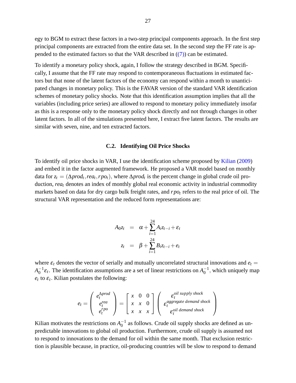egy to BGM to extract these factors in a two-step principal components approach. In the first step principal components are extracted from the entire data set. In the second step the FF rate is appended to the estimated factors so that the VAR described in  $((7))$  can be estimated.

To identify a monetary policy shock, again, I follow the strategy described in BGM. Specifically, I assume that the FF rate may respond to contemporaneous fluctuations in estimated factors but that none of the latent factors of the economy can respond within a month to unanticipated changes in monetary policy. This is the FAVAR version of the standard VAR identification schemes of monetary policy shocks. Note that this identification assumption implies that all the variables (including price series) are allowed to respond to monetary policy immediately insofar as this is a response only to the monetary policy shock directly and not through changes in other latent factors. In all of the simulations presented here, I extract five latent factors. The results are similar with seven, nine, and ten extracted factors.

## **C.2. Identifying Oil Price Shocks**

To identify oil price shocks in VAR, I use the identification scheme proposed by [Kilian](#page-49-14) [\(2009\)](#page-49-14) and embed it in the factor augmented framework. He proposed a VAR model based on monthly data for  $z_t = (\Delta prod_t,rea_t, rpo_t)$ , where  $\Delta prod_t$  is the percent change in global crude oil production, *rea<sub>t</sub>* denotes an index of monthly global real economic activity in industrial commodity markets based on data for dry cargo bulk freight rates, and *rpo<sup>t</sup>* refers to the real price of oil. The structural VAR representation and the reduced form representations are:

$$
A_{0}z_t = \alpha + \sum_{i=1}^{24} A_i z_{t-i} + \varepsilon_t
$$
  

$$
z_t = \beta + \sum_{i=1}^{24} B_i z_{t-i} + e_t
$$

where  $\varepsilon_t$  denotes the vector of serially and mutually uncorrelated structural innovations and  $e_t$  $A_0^{-1}\varepsilon_t$ . The identification assumptions are a set of linear restrictions on  $A_0^{-1}$ , which uniquely map  $e_t$  to  $\varepsilon_t$ . Kilian postulates the following:

$$
e_t = \begin{pmatrix} e_t^{\Delta prod} \\ e_t^{rea} \\ e_t^{rpo} \end{pmatrix} = \begin{bmatrix} x & 0 & 0 \\ x & x & 0 \\ x & x & x \end{bmatrix} \begin{pmatrix} \varepsilon_t^{oil \, supply \, shock} \\ \varepsilon_t^{aggregate \, demand \, shock} \\ \varepsilon_t^{oil \, demand \, shock} \end{pmatrix}
$$

Kilian motivates the restrictions on  $A_0^{-1}$  as follows. Crude oil supply shocks are defined as unpredictable innovations to global oil production. Furthermore, crude oil supply is assumed not to respond to innovations to the demand for oil within the same month. That exclusion restriction is plausible because, in practice, oil-producing countries will be slow to respond to demand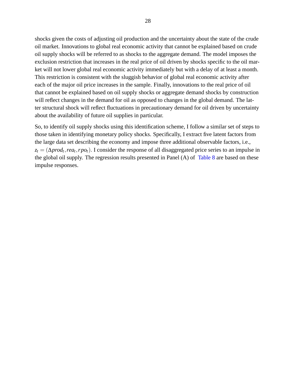shocks given the costs of adjusting oil production and the uncertainty about the state of the crude oil market. Innovations to global real economic activity that cannot be explained based on crude oil supply shocks will be referred to as shocks to the aggregate demand. The model imposes the exclusion restriction that increases in the real price of oil driven by shocks specific to the oil market will not lower global real economic activity immediately but with a delay of at least a month. This restriction is consistent with the sluggish behavior of global real economic activity after each of the major oil price increases in the sample. Finally, innovations to the real price of oil that cannot be explained based on oil supply shocks or aggregate demand shocks by construction will reflect changes in the demand for oil as opposed to changes in the global demand. The latter structural shock will reflect fluctuations in precautionary demand for oil driven by uncertainty about the availability of future oil supplies in particular.

So, to identify oil supply shocks using this identification scheme, I follow a similar set of steps to those taken in identifying monetary policy shocks. Specifically, I extract five latent factors from the large data set describing the economy and impose three additional observable factors, i.e., *z<sup>t</sup>* = (∆*prod<sup>t</sup>* ;*rea<sup>t</sup>* ;*rpot*): I consider the response of all disaggregated price series to an impulse in the global oil supply. The regression results presented in Panel (A) of [Table 8](#page-36-0) are based on these impulse responses.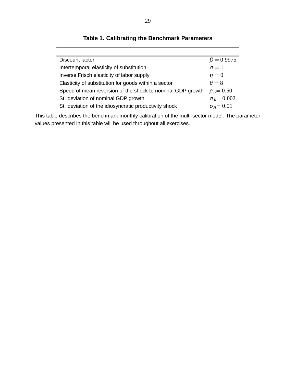| Discount factor                                            | $\beta = 0.9975$         |
|------------------------------------------------------------|--------------------------|
| Intertemporal elasticity of substitution                   | $\sigma = 1$             |
| Inverse Frisch elasticity of labor supply                  | $\eta=0$                 |
| Elasticity of substitution for goods within a sector       | $\theta = 8$             |
| Speed of mean reversion of the shock to nominal GDP growth | $\rho_{\rm p} = 0.50$    |
| St. deviation of nominal GDP growth                        | $\sigma_{\rm p} = 0.002$ |
| St. deviation of the idiosyncratic productivity shock      | $\sigma_A = 0.01$        |

<span id="page-29-0"></span>**Table 1. Calibrating the Benchmark Parameters**

This table describes the benchmark monthly calibration of the multi-sector model. The parameter values presented in this table will be used throughout all exercises.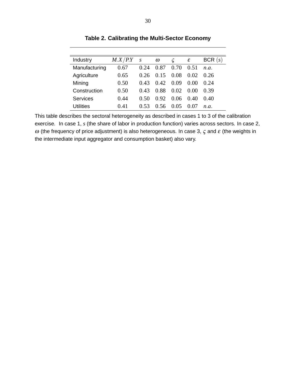| Industry      | M.X/P.Y | $\boldsymbol{S}$ | $\omega$ |                         | ε      | BCR(s) |
|---------------|---------|------------------|----------|-------------------------|--------|--------|
| Manufacturing | 0.67    | 0.24             | 0.87     | 0.70                    | 0.51   | n.a.   |
| Agriculture   | 0.65    | 0.26             | 0.15     | 0.08                    | 0.02   | 0.26   |
| Mining        | 0.50    | 0.43             | 0.42     | 0.09                    | ()()() | 0.24   |
| Construction  | 0.50    | 0.43             | 0.88     | 0.02                    | (0.00) | 0.39   |
| Services      | 0.44    | 0.50             | 0.92     | 0.06                    | 0.40   | 0.40   |
| Utilities     | 0.41    |                  | () 56    | $(1)$ ( $\overline{)5}$ |        | n a    |

<span id="page-30-0"></span>**Table 2. Calibrating the Multi-Sector Economy**

This table describes the sectoral heterogeneity as described in cases 1 to 3 of the calibration exercise. In case 1, *s* (the share of labor in production function) varies across sectors. In case 2,  $ω$  (the frequency of price adjustment) is also heterogeneous. In case 3,  $ζ$  and  $ε$  (the weights in the intermediate input aggregator and consumption basket) also vary.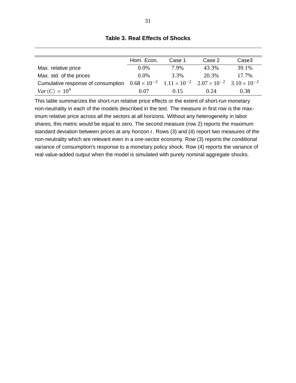|                                                                                                                            | Hom. Econ. | Case 1  | Case 2 | Case3 |
|----------------------------------------------------------------------------------------------------------------------------|------------|---------|--------|-------|
| Max. relative price                                                                                                        | $0.0\%$    | 7.9%    | 43.3%  | 39.1% |
| Max. std. of the prices                                                                                                    | $0.0\%$    | $3.3\%$ | 20.3%  | 17.7% |
| Cumulative response of consumption $0.68 \times 10^{-2}$ $1.11 \times 10^{-2}$ $2.07 \times 10^{-2}$ $3.10 \times 10^{-2}$ |            |         |        |       |
| $Var(C) \times 10^4$                                                                                                       | 0.07       | 0.15    | 0.24   | 0.38  |

# <span id="page-31-0"></span>**Table 3. Real Effects of Shocks**

This table summarizes the short-run relative price effects or the extent of short-run monetary non-neutrality in each of the models described in the text. The measure in first row is the maximum relative price across all the sectors at all horizons. Without any heterogeneity in labor shares, this metric would be equal to zero. The second measure (row 2) reports the maximum standard deviation between prices at any horizon *t*. Rows (3) and (4) report two measures of the non-neutrality which are relevant even in a one-sector economy. Row (3) reports the conditional variance of consumption's response to a monetary policy shock. Row (4) reports the variance of real value-added output when the model is simulated with purely nominal aggregate shocks.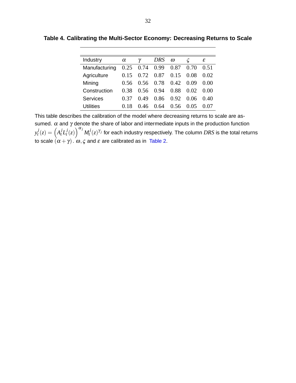| Industry      | $\alpha$ |      | $DRS$ $\omega$              |      |      | ε      |
|---------------|----------|------|-----------------------------|------|------|--------|
| Manufacturing |          |      | $0.25$ 0.74 0.99 0.87 0.70  |      |      | 0.51   |
| Agriculture   | 0.15     |      | $0.72$ $0.87$ $0.15$ $0.08$ |      |      | 0.02   |
| Mining        | 0.56     |      | $0.56$ $0.78$ $0.42$ $0.09$ |      |      | 0.00   |
| Construction  | 0.38     | 0.56 | 0.94                        | 0.88 | 0.02 | - 0.00 |
| Services      | (137)    | 0.49 | 0.86                        | 0.92 | 0.06 | 0.40   |

<span id="page-32-0"></span>**Table 4. Calibrating the Multi-Sector Economy: Decreasing Returns to Scale**

This table describes the calibration of the model where decreasing returns to scale are assumed.  $\alpha$  and  $\gamma$  denote the share of labor and intermediate inputs in the production function *y j*  $\int_t^j(z) = \left(A_t^j L_t^j\right)$  $\int_t^j(z)\,dy{a_j}M_t^j$  $g^{j}(z)^{\gamma_{j}}$  for each industry respectively. The column  $DRS$  is the total returns to scale  $(\alpha+\gamma)$  .  $\omega,\varsigma$  and  $\varepsilon$  are calibrated as in  $\,$  [Table 2.](#page-30-0)

Utilities 0.18 0.46 0.64 0.56 0.05 0.07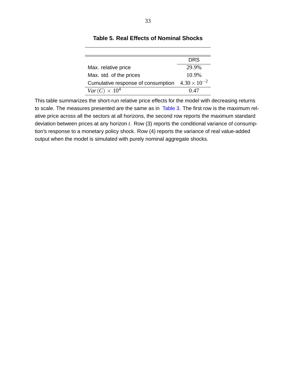|                                    | DRS                   |
|------------------------------------|-----------------------|
| Max. relative price                | 29.9%                 |
| Max. std. of the prices            | 10.9%                 |
| Cumulative response of consumption | $4.30 \times 10^{-2}$ |
| $Var(C) \times 10^4$               | 0.47                  |

# <span id="page-33-0"></span>**Table 5. Real Effects of Nominal Shocks**

This table summarizes the short-run relative price effects for the model with decreasing returns to scale. The measures presented are the same as in [Table 3.](#page-31-0) The first row is the maximum relative price across all the sectors at all horizons, the second row reports the maximum standard deviation between prices at any horizon *t*. Row (3) reports the conditional variance of consumption's response to a monetary policy shock. Row (4) reports the variance of real value-added output when the model is simulated with purely nominal aggregate shocks.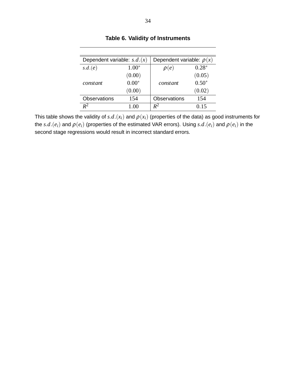| Dependent variable: $s.d.(x)$ |         | Dependent variable: $\rho(x)$ |         |
|-------------------------------|---------|-------------------------------|---------|
| s.d.(e)                       | $1.00*$ | $\rho(e)$                     | $0.28*$ |
|                               | (0.00)  |                               | (0.05)  |
| constant                      | $0.00*$ | constant                      | $0.50*$ |
|                               | (0.00)  |                               | (0.02)  |
| <b>Observations</b>           | 154     | <b>Observations</b>           | 154     |
| $\mathbf{p}^2$                | 1 OO    | $\,R^2$                       | 0.15    |

<span id="page-34-0"></span>**Table 6. Validity of Instruments**

This table shows the validity of  $s.d.(x_i)$  and  $\rho(x_i)$  (properties of the data) as good instruments for the  $s.d.(e_i)$  and  $\rho(e_i)$  (properties of the estimated VAR errors). Using  $s.d.(e_i)$  and  $\rho(e_i)$  in the second stage regressions would result in incorrect standard errors.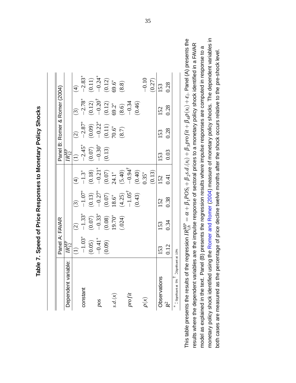|                                         | Panel A: FAVAR                                          |                                                                                                       |                                                                                                                            |                                                                                                                                                 |                                                                                |                                                                           | Panel B: Romer & Romer (2004)                                                                                              |                                                                       |
|-----------------------------------------|---------------------------------------------------------|-------------------------------------------------------------------------------------------------------|----------------------------------------------------------------------------------------------------------------------------|-------------------------------------------------------------------------------------------------------------------------------------------------|--------------------------------------------------------------------------------|---------------------------------------------------------------------------|----------------------------------------------------------------------------------------------------------------------------|-----------------------------------------------------------------------|
| Dependent variable:                     | $\overline{IR^{MP}_{12}}$                               |                                                                                                       |                                                                                                                            |                                                                                                                                                 |                                                                                |                                                                           |                                                                                                                            |                                                                       |
|                                         |                                                         |                                                                                                       |                                                                                                                            |                                                                                                                                                 |                                                                                |                                                                           |                                                                                                                            |                                                                       |
| constant                                |                                                         |                                                                                                       |                                                                                                                            |                                                                                                                                                 |                                                                                |                                                                           |                                                                                                                            |                                                                       |
|                                         |                                                         |                                                                                                       |                                                                                                                            |                                                                                                                                                 |                                                                                |                                                                           |                                                                                                                            |                                                                       |
| pos                                     |                                                         |                                                                                                       |                                                                                                                            |                                                                                                                                                 |                                                                                |                                                                           |                                                                                                                            |                                                                       |
|                                         | $(1)$<br>$-1.03^*$<br>$(0.05)$<br>$-0.41^*$<br>$(0.09)$ | $(2)$<br>$-1.33$ <sup>*</sup><br>$(0.07)$<br>$-0.33$ <sup>*</sup><br>$(0.08)$<br>$19.70$ <sup>*</sup> | $\begin{aligned} (3) \ -1.07^* \ -0.27^* \ (0.13) \ (0.07) \ (0.07) \ 18.6^* \ -1.05^* \ -1.05^* \ (-1.05^* \end{aligned}$ | $-1.3$ *<br>$-0.21$ *<br>$-0.21$ *<br>$24.1$ *<br>$-0.94$ <sup>†</sup><br>$-0.94$ <sup>†</sup><br>$-0.94$ <sup>†</sup><br>$-0.35$ *<br>$0.35$ * | $\frac{IR_{12}^{MP}}{(-1)}$<br>$-2.45^*$<br>$(-0.07)$<br>$-0.30^*$<br>$(0.13)$ | $(2)$<br>$-2.87^*$<br>$(0.09)$<br>$-0.22^*$<br>$(0.11)$<br>70.6*<br>(8.7) | $\begin{array}{c} (3) \\ -2.78^* \\ (0.12) \\ -0.20^{\dagger} \\ (0.12) \\ (0.12) \\ (8.6) \\ -0.34 \\ (0.46) \end{array}$ | $-2.83^*$<br>$(0.11)$<br>$-0.24^*$<br>$(0.12)$<br>$(0.12)$<br>$(8.8)$ |
|                                         |                                                         |                                                                                                       |                                                                                                                            |                                                                                                                                                 |                                                                                |                                                                           |                                                                                                                            |                                                                       |
|                                         |                                                         |                                                                                                       |                                                                                                                            |                                                                                                                                                 |                                                                                |                                                                           |                                                                                                                            |                                                                       |
| projit                                  |                                                         |                                                                                                       |                                                                                                                            |                                                                                                                                                 |                                                                                |                                                                           |                                                                                                                            |                                                                       |
|                                         |                                                         |                                                                                                       |                                                                                                                            |                                                                                                                                                 |                                                                                |                                                                           |                                                                                                                            |                                                                       |
| $\rho(x)$                               |                                                         |                                                                                                       |                                                                                                                            |                                                                                                                                                 |                                                                                |                                                                           |                                                                                                                            |                                                                       |
|                                         |                                                         |                                                                                                       |                                                                                                                            |                                                                                                                                                 |                                                                                |                                                                           |                                                                                                                            | $-0.10$<br>(0.27)                                                     |
| Observations                            | 153                                                     | 153                                                                                                   | 152                                                                                                                        | 152                                                                                                                                             | 153                                                                            | 153                                                                       | 152                                                                                                                        | <b>153</b>                                                            |
| $\mathcal{R}^2$                         | 0.12                                                    | 0.34                                                                                                  | 0.38                                                                                                                       | 141                                                                                                                                             | 0.03                                                                           | 0.28                                                                      | 0.28                                                                                                                       | 0.28                                                                  |
| Significant at 10%<br>Significant at 5% |                                                         |                                                                                                       |                                                                                                                            |                                                                                                                                                 |                                                                                |                                                                           |                                                                                                                            |                                                                       |

Table 7. Speed of Price Responses to Monetary Policy Shocks **Table 7. Speed of Price Responses to Monetary Policy Shocks**

<span id="page-35-0"></span>monetary policy shock identified using the Romer and Romer (2004) measure of monetary policy shocks. The dependent variables in This table presents the results of the regression  $IR_{i,h}^{MP} = \alpha + \beta_1 POS_i + \beta_2s.d. (x_i) + \beta_3projit + \beta_4\rho(x_i) + \varepsilon_i$ . Panel (A) presents the monetary policy shock identified using the [Romer](#page-50-10) and Romer [\(2004\)](#page-50-10) measure of monetary policy shocks. The dependent variables in This table presents the results of the regression  $IR_{i,h}^{MF}=\alpha+\beta_1POS_i+\beta_2s.d.(x_i)+\beta_3projit+\beta_4\rho(x_i)+\epsilon_i.$  Panel (A) presents the results where the dependent variables are the impulse response of sectoral prices to a monetary policy shock identified in a FAVAR results where the dependent variables are the impulse response of sectoral prices to a monetary policy shock identified in a FAVAR model as explained in the text. Panel (B) presents the regression results where impulse responses are computed in response to a model as explained in the text. Panel (B) presents the regression results where impulse responses are computed in response to a both cases are measured as the percentage of price decline twelve months after the shock occurs relative to the pre-shock level. both cases are measured as the percentage of price decline twelve months after the shock occurs relative to the pre-shock level.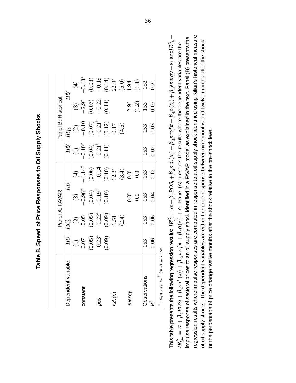| ι                     |
|-----------------------|
|                       |
| - C+ CCCCCCCCCCC<br>l |
| ſ<br>I                |
|                       |
| i<br>ı                |
|                       |

|                                           |                                                               |                                                                                | Panel A: FAVAR                                                            |                                                                                                        |                                                                 | Panel B: Historical                                                                                 |                                                      |                                                                                   |
|-------------------------------------------|---------------------------------------------------------------|--------------------------------------------------------------------------------|---------------------------------------------------------------------------|--------------------------------------------------------------------------------------------------------|-----------------------------------------------------------------|-----------------------------------------------------------------------------------------------------|------------------------------------------------------|-----------------------------------------------------------------------------------|
| bependent variable:                       |                                                               | $IR_9^0 - IR_{12}^0$                                                           |                                                                           | $R^{\rm O}_{\rm o}$                                                                                    | $IR^O_9$                                                        | $-\bar{IR}_{12}^{U}$                                                                                |                                                      | $IR^{\rm O}_{\rm o}$                                                              |
|                                           |                                                               |                                                                                |                                                                           |                                                                                                        |                                                                 |                                                                                                     |                                                      |                                                                                   |
| <b>onstant</b>                            |                                                               |                                                                                |                                                                           |                                                                                                        |                                                                 |                                                                                                     |                                                      |                                                                                   |
|                                           |                                                               |                                                                                |                                                                           |                                                                                                        |                                                                 |                                                                                                     |                                                      |                                                                                   |
| 50d                                       |                                                               |                                                                                |                                                                           |                                                                                                        |                                                                 |                                                                                                     |                                                      |                                                                                   |
|                                           | (1)<br>$0.07$<br>$(0.05)$<br>$-0.23$ <sup>*</sup><br>$(0.09)$ | (2)<br>$0.05$<br>$0.05$<br>$-0.22^*$<br>$-0.21$<br>$1.51$<br>$1.51$<br>$(2.4)$ | $(3)$<br>$-0.96^*$<br>$(0.04)$<br>$-0.19^{\dagger}$<br>$(0.10^{\dagger})$ | (4)<br>$-1.14$<br>$-0.06$<br>$-0.14$<br>$-0.10$<br>$-0.14$<br>$-0.05$<br>$-0.05$<br>$-0.05$<br>$-0.05$ | $(1)$<br>$-0.10^*$<br>$(0.04)$<br>$-0.21^{\dagger}$<br>$(0.11)$ | $\begin{array}{c} (2) \\ -0.10 \\ (0.07) \\ -0.21^{\dagger} \\ (0.12) \\ 0.17 \\ (4.6) \end{array}$ | $(3)$<br>$-2.9^*$<br>$-0.07$<br>$-0.22$<br>$-0.14$ ) | (4)<br>$-3.13^*$<br>$-0.19$<br>$-0.14$<br>$(5.0)$<br>$(5.0)$<br>$1.94$<br>$(1.1)$ |
|                                           |                                                               |                                                                                |                                                                           |                                                                                                        |                                                                 |                                                                                                     |                                                      |                                                                                   |
|                                           |                                                               |                                                                                |                                                                           |                                                                                                        |                                                                 |                                                                                                     |                                                      |                                                                                   |
| nergy                                     |                                                               |                                                                                | $0.0^{*}$                                                                 |                                                                                                        |                                                                 |                                                                                                     |                                                      |                                                                                   |
|                                           |                                                               |                                                                                |                                                                           |                                                                                                        |                                                                 |                                                                                                     | $2.9^*$<br>$(1.2)$                                   |                                                                                   |
| bservations                               | 153                                                           | 153                                                                            | 153                                                                       | 153                                                                                                    | 153                                                             | 153                                                                                                 | 153                                                  | 153                                                                               |
|                                           | 0.06                                                          | 0.06                                                                           | 0.04                                                                      | 0.12                                                                                                   | 0.02                                                            | 0.03                                                                                                | 0.07                                                 | 0.21                                                                              |
| Significant at 10%<br>: Significant at 5% |                                                               |                                                                                |                                                                           |                                                                                                        |                                                                 |                                                                                                     |                                                      |                                                                                   |

<span id="page-36-0"></span>regression results where impulse responses are computed in response to a oil supply shock identified using Kilian's historical measure This table presents the following regression results:  $IR_{i,h}^O=\alpha+\beta_1POS_i+\beta_2s.d. (x_i)+\beta_3projit+\beta_4\rho(x_i)+\beta_5energy+\varepsilon_i$  and $IR_{i,h}^O-\Gamma$ This table presents the following regression results:  $IR_{i,h}^O=\alpha+\beta_1POS_i+\beta_2s.d.(x_i)+\beta_3projit+\beta_4\rho(x_i)+\beta_5energy+\epsilon_i$  and/ $R_{i,h}^O-R_{i,h}^O=R+\beta_1POS_i+\beta_2s.d.(x_i)+\beta_3projit+\beta_4\rho(x_i)+\epsilon_i.$  Panel (A) presents the results where the dependent variabl regression results where impulse responses are computed in response to a oil supply shock identified using Kilian's historical measure impulse response of sectoral prices to an oil supply shock identified in a FAVAR model as explained in the text. Panel (B) presents the impulse response of sectoral prices to an oil supply shock identified in a FAVAR model as explained in the text. Panel (B) presents the of oil supply shocks. The dependent variables are either the price response between nine months and twelve months after the shock of oil supply shocks. The dependent variables are either the price response between nine months and twelve months after the shock  $IR_{i,m}^O = \alpha + \beta_1 POS_i + \beta_2s.d.(x_i) + \beta_3proj(i + \beta_4\rho(x_i) + \varepsilon_i$ . Panel (A) presents the results where the dependent variables are the or the percentage of price change twelve months after the shock relative to the pre-shock level. or the percentage of price change twelve months after the shock relative to the pre-shock level.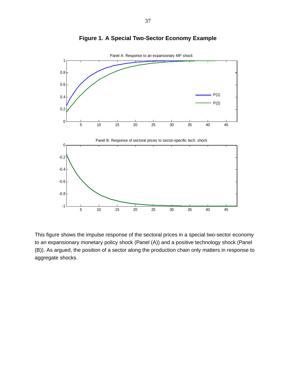

# <span id="page-37-0"></span>**Figure 1. A Special Two-Sector Economy Example**

This figure shows the impulse response of the sectoral prices in a special two-sector economy to an expansionary monetary policy shock (Panel (A)) and a positive technology shock (Panel (B)). As argued, the position of a sector along the production chain only matters in response to aggregate shocks.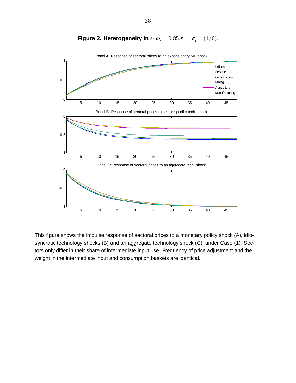

# <span id="page-38-0"></span>**Figure 2. Heterogeneity in**  $s_i \cdot \omega_i = 0.85 \cdot \varepsilon_i = \zeta_i = (1/6)$ .

This figure shows the impulse response of sectoral prices to a monetary policy shock (A), idiosyncratic technology shocks (B) and an aggregate technology shock (C), under Case (1). Sectors only differ in their share of intermediate input use. Frequency of price adjustment and the weight in the intermediate input and consumption baskets are identical.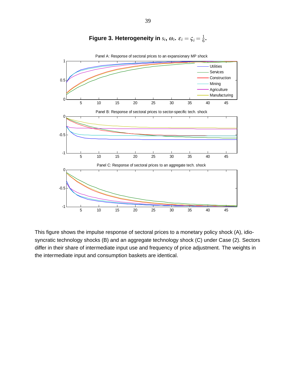

<span id="page-39-0"></span>Figure 3. Heterogeneity in  $s_i$ ,  $\omega_i$ .  $\varepsilon_i = \zeta_i = \frac{1}{6}$  $\frac{1}{6}$ .

This figure shows the impulse response of sectoral prices to a monetary policy shock (A), idiosyncratic technology shocks (B) and an aggregate technology shock (C) under Case (2). Sectors differ in their share of intermediate input use and frequency of price adjustment. The weights in the intermediate input and consumption baskets are identical.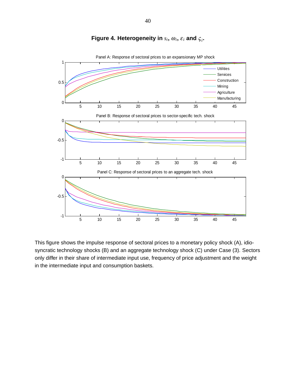

# <span id="page-40-0"></span>Figure 4. Heterogeneity in  $s_i$ ,  $\omega_i$ ,  $\varepsilon_i$  and  $\varsigma_i$ .

Panel A: Response of sectoral prices to an expansionary MP shock

This figure shows the impulse response of sectoral prices to a monetary policy shock (A), idiosyncratic technology shocks (B) and an aggregate technology shock (C) under Case (3). Sectors only differ in their share of intermediate input use, frequency of price adjustment and the weight in the intermediate input and consumption baskets.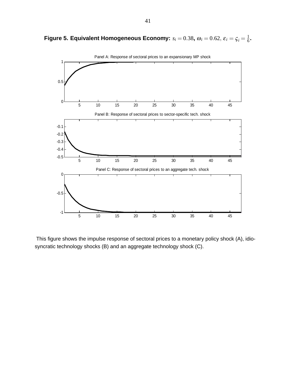<span id="page-41-0"></span>**Figure 5. Equivalent Homogeneous Economy:**  $s_i = 0.38$ ,  $\omega_i = 0.62, \, \varepsilon_i = \frac{1}{6}$  $\frac{1}{6}$ .



This figure shows the impulse response of sectoral prices to a monetary policy shock (A), idiosyncratic technology shocks (B) and an aggregate technology shock (C).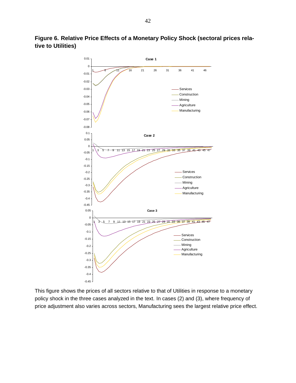<span id="page-42-0"></span>

**Figure 6. Relative Price Effects of a Monetary Policy Shock (sectoral prices relative to Utilities)**

This figure shows the prices of all sectors relative to that of Utilities in response to a monetary policy shock in the three cases analyzed in the text. In cases (2) and (3), where frequency of price adjustment also varies across sectors, Manufacturing sees the largest relative price effect.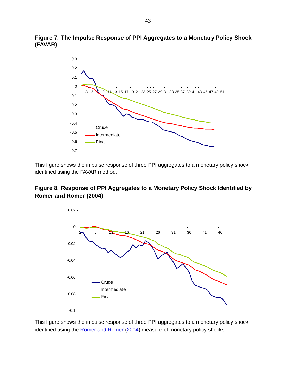**Figure 7. The Impulse Response of PPI Aggregates to a Monetary Policy Shock (FAVAR)**

<span id="page-43-0"></span>

This figure shows the impulse response of three PPI aggregates to a monetary policy shock identified using the FAVAR method.

# **Figure 8. Response of PPI Aggregates to a Monetary Policy Shock Identified by Romer and Romer (2004)**

<span id="page-43-1"></span>

This figure shows the impulse response of three PPI aggregates to a monetary policy shock identified using the [Romer and Romer](#page-50-10) [\(2004\)](#page-50-10) measure of monetary policy shocks.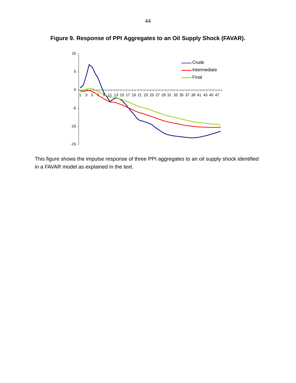<span id="page-44-0"></span>

**Figure 9. Response of PPI Aggregates to an Oil Supply Shock (FAVAR).**

This figure shows the impulse response of three PPI aggregates to an oil supply shock identified in a FAVAR model as explained in the text.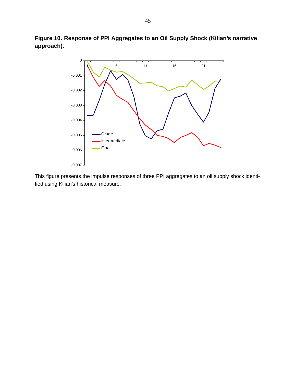**Figure 10. Response of PPI Aggregates to an Oil Supply Shock (Kilian's narrative approach).**

<span id="page-45-0"></span>

This figure presents the impulse responses of three PPI aggregates to an oil supply shock identified using Kilian's historical measure.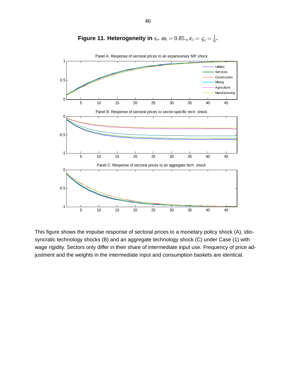

<span id="page-46-0"></span>Figure 11. Heterogeneity in  $s_i$ .  $\omega_i = 0.85$ .,  $\varepsilon_i = \zeta_i = \frac{1}{6}$  $\frac{1}{6}$ .

This figure shows the impulse response of sectoral prices to a monetary policy shock (A), idiosyncratic technology shocks (B) and an aggregate technology shock (C) under Case (1) with wage rigidity. Sectors only differ in their share of intermediate input use. Frequency of price adjustment and the weights in the intermediate input and consumption baskets are identical.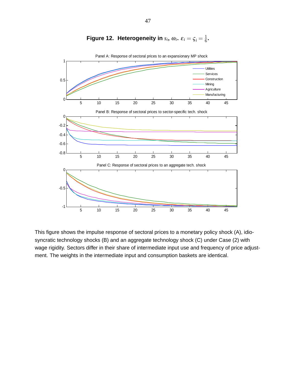

<span id="page-47-0"></span>

This figure shows the impulse response of sectoral prices to a monetary policy shock (A), idiosyncratic technology shocks (B) and an aggregate technology shock (C) under Case (2) with wage rigidity. Sectors differ in their share of intermediate input use and frequency of price adjustment. The weights in the intermediate input and consumption baskets are identical.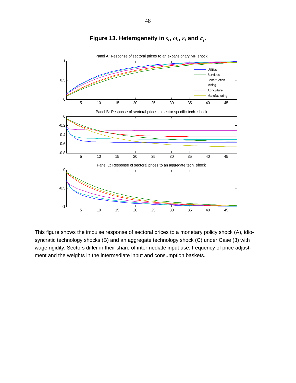

# <span id="page-48-0"></span>Figure 13. Heterogeneity in  $s_i$ ,  $\omega_i$ ,  $\varepsilon_i$  and  $\varsigma_i$ .

This figure shows the impulse response of sectoral prices to a monetary policy shock (A), idiosyncratic technology shocks (B) and an aggregate technology shock (C) under Case (3) with wage rigidity. Sectors differ in their share of intermediate input use, frequency of price adjustment and the weights in the intermediate input and consumption baskets.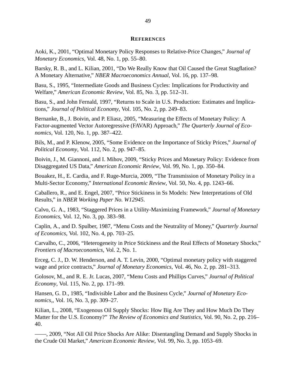#### **REFERENCES**

<span id="page-49-13"></span><span id="page-49-0"></span>Aoki, K., 2001, "Optimal Monetary Policy Responses to Relative-Price Changes," *Journal of Monetary Economics*, Vol. 48, No. 1, pp. 55–80.

<span id="page-49-16"></span>Barsky, R. B., and L. Kilian, 2001, "Do We Really Know that Oil Caused the Great Stagflation? A Monetary Alternative," *NBER Macroeconomics Annual*, Vol. 16, pp. 137–98.

<span id="page-49-8"></span>Basu, S., 1995, "Intermediate Goods and Business Cycles: Implications for Productivity and Welfare," *American Economic Review*, Vol. 85, No. 3, pp. 512–31.

<span id="page-49-11"></span>Basu, S., and John Fernald, 1997, "Returns to Scale in U.S. Production: Estimates and Implications," *Journal of Political Economy*, Vol. 105, No. 2, pp. 249–83.

<span id="page-49-17"></span>Bernanke, B., J. Boivin, and P. Eliasz, 2005, "Measuring the Effects of Monetary Policy: A Factor-augmented Vector Autoregressive (FAVAR) Approach," *The Quarterly Journal of Economics*, Vol. 120, No. 1, pp. 387–422.

<span id="page-49-3"></span>Bils, M., and P. Klenow, 2005, "Some Evidence on the Importance of Sticky Prices," *Journal of Political Economy*, Vol. 112, No. 2, pp. 947–85.

<span id="page-49-2"></span>Boivin, J., M. Giannoni, and I. Mihov, 2009, "Sticky Prices and Monetary Policy: Evidence from Disaggregated US Data," *American Economic Review*, Vol. 99, No. 1, pp. 350–84.

<span id="page-49-7"></span>Bouakez, H., E. Cardia, and F. Ruge-Murcia, 2009, "The Transmission of Monetary Policy in a Multi-Sector Economy," *International Economic Review*, Vol. 50, No. 4, pp. 1243–66.

<span id="page-49-5"></span>Caballero, R., and E. Engel, 2007, "Price Stickiness in Ss Models: New Interpretations of Old Results," in *NBER Working Paper No. W12945*.

<span id="page-49-9"></span>Calvo, G. A., 1983, "Staggered Prices in a Utility-Maximizing Framework," *Journal of Monetary Economics*, Vol. 12, No. 3, pp. 383–98.

<span id="page-49-4"></span>Caplin, A., and D. Spulber, 1987, "Menu Costs and the Neutrality of Money," *Quarterly Journal of Economics*, Vol. 102, No. 4, pp. 703–25.

<span id="page-49-6"></span>Carvalho, C., 2006, "Heterogeneity in Price Stickiness and the Real Effects of Monetary Shocks," *Frontiers of Macroeconomics*, Vol. 2, No. 1.

<span id="page-49-12"></span>Erceg, C. J., D. W. Henderson, and A. T. Levin, 2000, "Optimal monetary policy with staggered wage and price contracts," *Journal of Monetary Economics*, Vol. 46, No. 2, pp. 281–313.

<span id="page-49-1"></span>Golosov, M., and R. E. Jr. Lucas, 2007, "Menu Costs and Phillips Curves," *Journal of Political Economy*, Vol. 115, No. 2, pp. 171–99.

<span id="page-49-10"></span>Hansen, G. D., 1985, "Indivisible Labor and the Business Cycle," *Journal of Monetary Economics,*, Vol. 16, No. 3, pp. 309–27.

<span id="page-49-15"></span>Kilian, L., 2008, "Exogenous Oil Supply Shocks: How Big Are They and How Much Do They Matter for the U.S. Economy?" *The Review of Economics and Statistics*, Vol. 90, No. 2, pp. 216– 40.

<span id="page-49-14"></span>——, 2009, "Not All Oil Price Shocks Are Alike: Disentangling Demand and Supply Shocks in the Crude Oil Market," *American Economic Review*, Vol. 99, No. 3, pp. 1053–69.